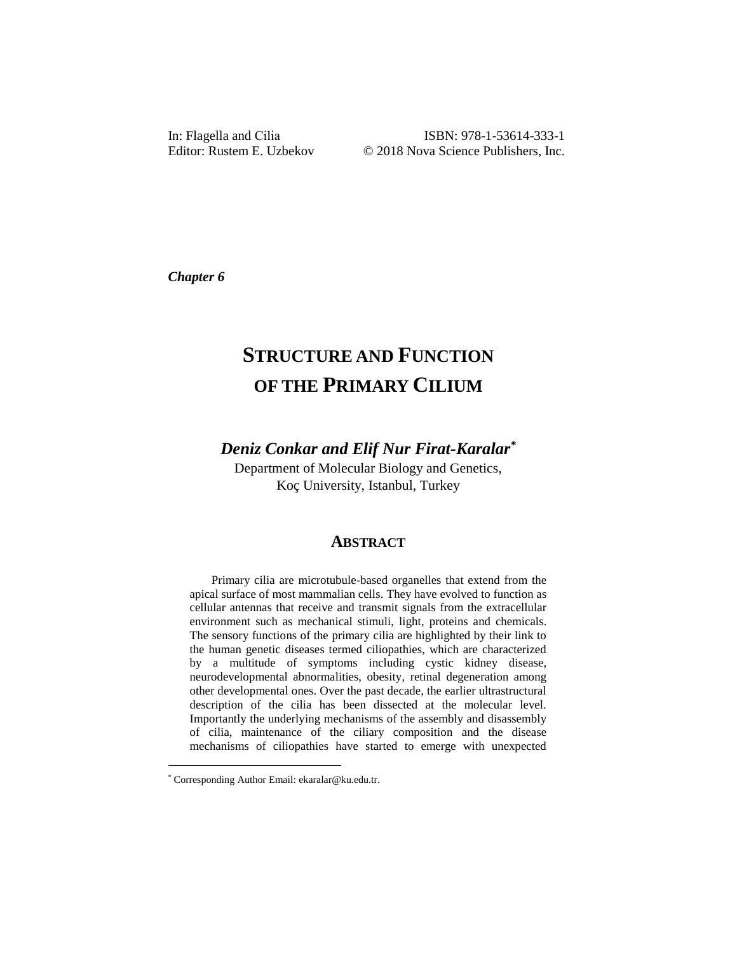*Chapter 6*

# **STRUCTURE AND FUNCTION OF THE PRIMARY CILIUM**

*Deniz Conkar and Elif Nur Firat-Karalar\**

Department of Molecular Biology and Genetics, Koç University, Istanbul, Turkey

## **ABSTRACT**

Primary cilia are microtubule-based organelles that extend from the apical surface of most mammalian cells. They have evolved to function as cellular antennas that receive and transmit signals from the extracellular environment such as mechanical stimuli, light, proteins and chemicals. The sensory functions of the primary cilia are highlighted by their link to the human genetic diseases termed ciliopathies, which are characterized by a multitude of symptoms including cystic kidney disease, neurodevelopmental abnormalities, obesity, retinal degeneration among other developmental ones. Over the past decade, the earlier ultrastructural description of the cilia has been dissected at the molecular level. Importantly the underlying mechanisms of the assembly and disassembly of cilia, maintenance of the ciliary composition and the disease mechanisms of ciliopathies have started to emerge with unexpected

l

<sup>\*</sup> Corresponding Author Email: ekaralar@ku.edu.tr.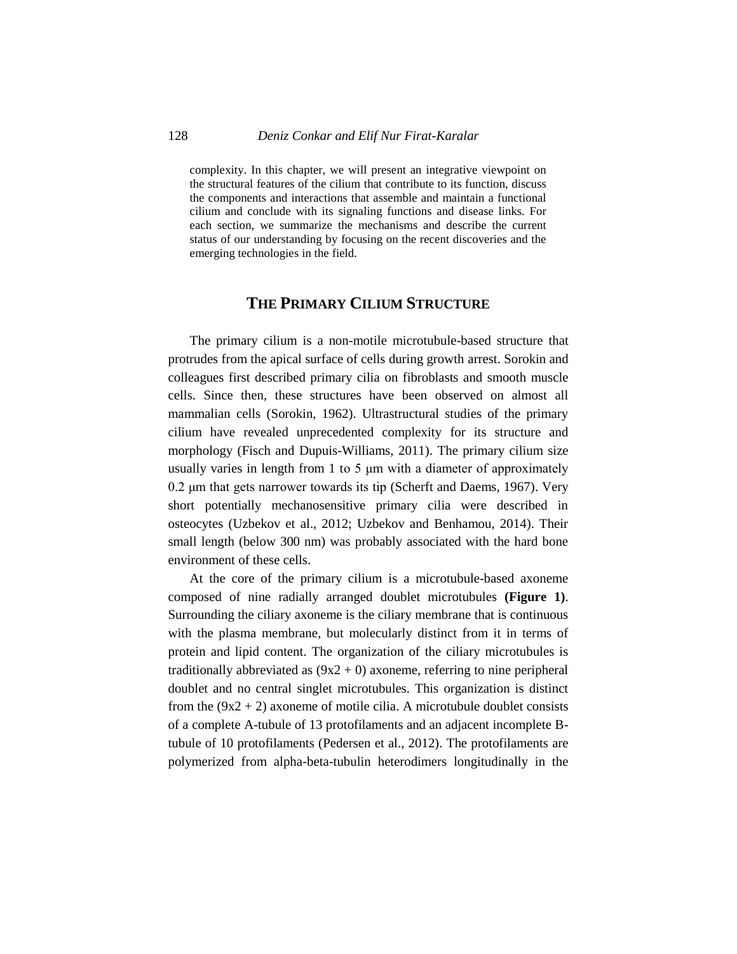complexity. In this chapter, we will present an integrative viewpoint on the structural features of the cilium that contribute to its function, discuss the components and interactions that assemble and maintain a functional cilium and conclude with its signaling functions and disease links. For each section, we summarize the mechanisms and describe the current status of our understanding by focusing on the recent discoveries and the emerging technologies in the field.

# **THE PRIMARY CILIUM STRUCTURE**

The primary cilium is a non-motile microtubule-based structure that protrudes from the apical surface of cells during growth arrest. Sorokin and colleagues first described primary cilia on fibroblasts and smooth muscle cells. Since then, these structures have been observed on almost all mammalian cells (Sorokin, 1962). Ultrastructural studies of the primary cilium have revealed unprecedented complexity for its structure and morphology (Fisch and Dupuis-Williams, 2011). The primary cilium size usually varies in length from 1 to 5 μm with a diameter of approximately 0.2 μm that gets narrower towards its tip (Scherft and Daems, 1967). Very short potentially mechanosensitive primary cilia were described in osteocytes (Uzbekov et al., 2012; Uzbekov and Benhamou, 2014). Their small length (below 300 nm) was probably associated with the hard bone environment of these cells.

At the core of the primary cilium is a microtubule-based axoneme composed of nine radially arranged doublet microtubules **(Figure 1)**. Surrounding the ciliary axoneme is the ciliary membrane that is continuous with the plasma membrane, but molecularly distinct from it in terms of protein and lipid content. The organization of the ciliary microtubules is traditionally abbreviated as  $(9x2 + 0)$  axoneme, referring to nine peripheral doublet and no central singlet microtubules. This organization is distinct from the  $(9x2 + 2)$  axoneme of motile cilia. A microtubule doublet consists of a complete A-tubule of 13 protofilaments and an adjacent incomplete Btubule of 10 protofilaments (Pedersen et al., 2012). The protofilaments are polymerized from alpha-beta-tubulin heterodimers longitudinally in the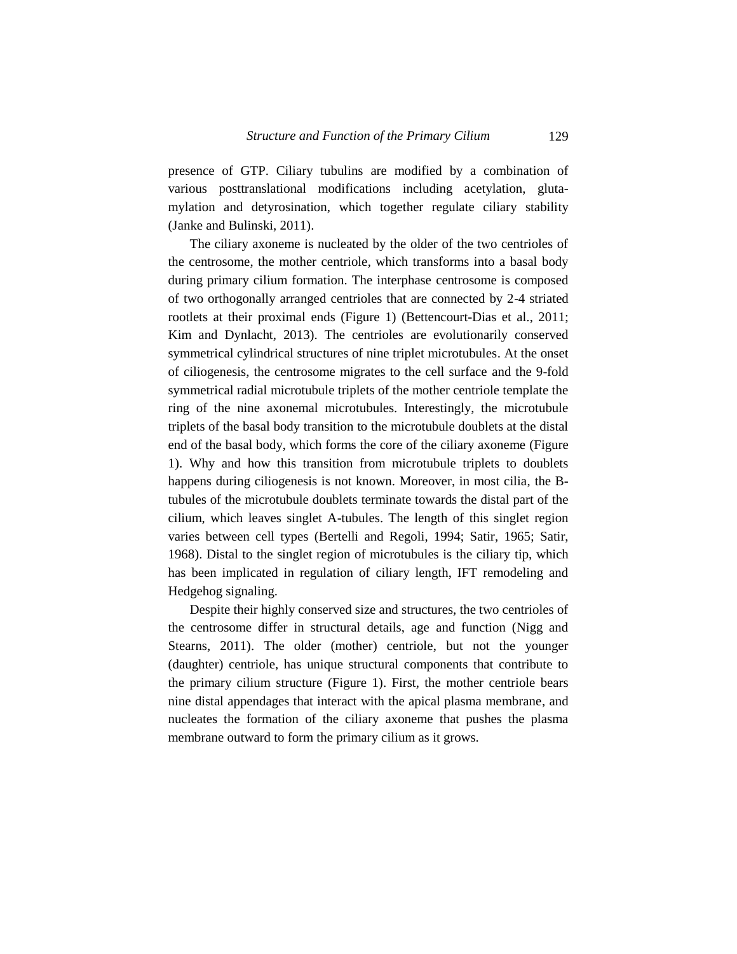presence of GTP. Ciliary tubulins are modified by a combination of various posttranslational modifications including acetylation, glutamylation and detyrosination, which together regulate ciliary stability (Janke and Bulinski, 2011).

The ciliary axoneme is nucleated by the older of the two centrioles of the centrosome, the mother centriole, which transforms into a basal body during primary cilium formation. The interphase centrosome is composed of two orthogonally arranged centrioles that are connected by 2-4 striated rootlets at their proximal ends (Figure 1) (Bettencourt-Dias et al., 2011; Kim and Dynlacht, 2013). The centrioles are evolutionarily conserved symmetrical cylindrical structures of nine triplet microtubules. At the onset of ciliogenesis, the centrosome migrates to the cell surface and the 9-fold symmetrical radial microtubule triplets of the mother centriole template the ring of the nine axonemal microtubules. Interestingly, the microtubule triplets of the basal body transition to the microtubule doublets at the distal end of the basal body, which forms the core of the ciliary axoneme (Figure 1). Why and how this transition from microtubule triplets to doublets happens during ciliogenesis is not known. Moreover, in most cilia, the Btubules of the microtubule doublets terminate towards the distal part of the cilium, which leaves singlet A-tubules. The length of this singlet region varies between cell types (Bertelli and Regoli, 1994; Satir, 1965; Satir, 1968). Distal to the singlet region of microtubules is the ciliary tip, which has been implicated in regulation of ciliary length, IFT remodeling and Hedgehog signaling.

Despite their highly conserved size and structures, the two centrioles of the centrosome differ in structural details, age and function (Nigg and Stearns, 2011). The older (mother) centriole, but not the younger (daughter) centriole, has unique structural components that contribute to the primary cilium structure (Figure 1). First, the mother centriole bears nine distal appendages that interact with the apical plasma membrane, and nucleates the formation of the ciliary axoneme that pushes the plasma membrane outward to form the primary cilium as it grows.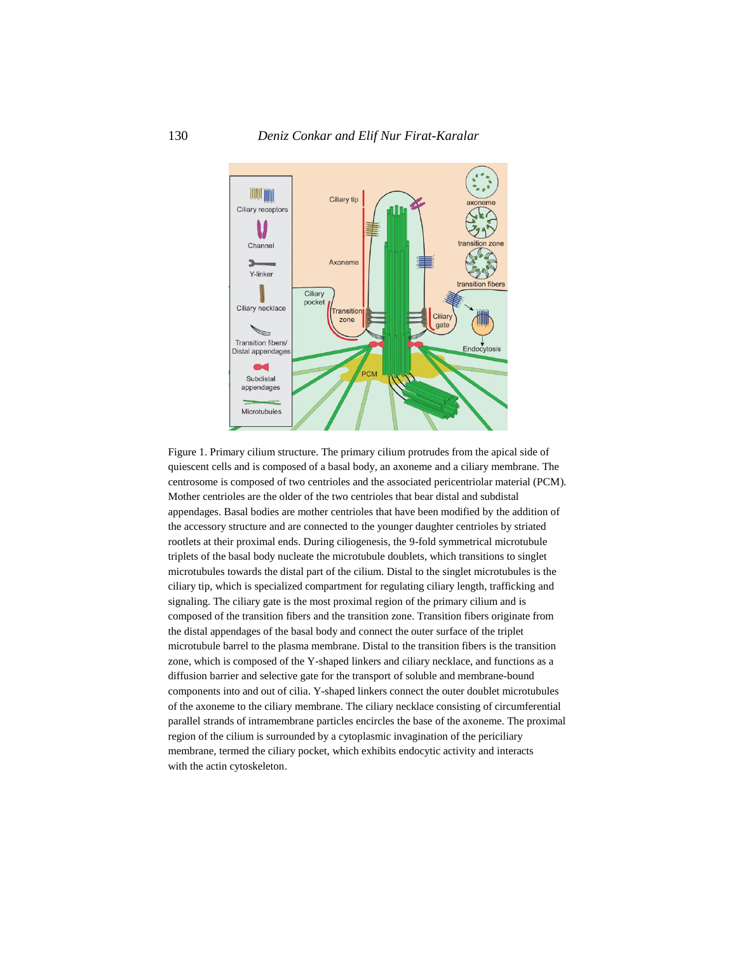

Figure 1. Primary cilium structure. The primary cilium protrudes from the apical side of quiescent cells and is composed of a basal body, an axoneme and a ciliary membrane. The centrosome is composed of two centrioles and the associated pericentriolar material (PCM). Mother centrioles are the older of the two centrioles that bear distal and subdistal appendages. Basal bodies are mother centrioles that have been modified by the addition of the accessory structure and are connected to the younger daughter centrioles by striated rootlets at their proximal ends. During ciliogenesis, the 9-fold symmetrical microtubule triplets of the basal body nucleate the microtubule doublets, which transitions to singlet microtubules towards the distal part of the cilium. Distal to the singlet microtubules is the ciliary tip, which is specialized compartment for regulating ciliary length, trafficking and signaling. The ciliary gate is the most proximal region of the primary cilium and is composed of the transition fibers and the transition zone. Transition fibers originate from the distal appendages of the basal body and connect the outer surface of the triplet microtubule barrel to the plasma membrane. Distal to the transition fibers is the transition zone, which is composed of the Y-shaped linkers and ciliary necklace, and functions as a diffusion barrier and selective gate for the transport of soluble and membrane-bound components into and out of cilia. Y-shaped linkers connect the outer doublet microtubules of the axoneme to the ciliary membrane. The ciliary necklace consisting of circumferential parallel strands of intramembrane particles encircles the base of the axoneme. The proximal region of the cilium is surrounded by a cytoplasmic invagination of the periciliary membrane, termed the ciliary pocket, which exhibits endocytic activity and interacts with the actin cytoskeleton.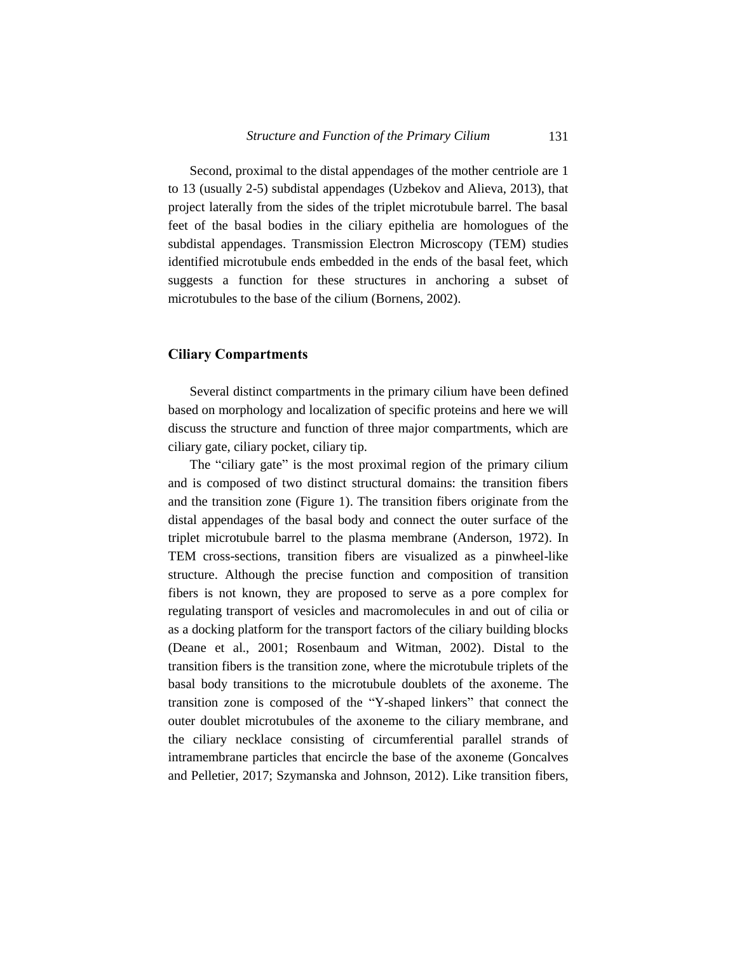Second, proximal to the distal appendages of the mother centriole are 1 to 13 (usually 2-5) subdistal appendages (Uzbekov and Alieva, 2013), that project laterally from the sides of the triplet microtubule barrel. The basal feet of the basal bodies in the ciliary epithelia are homologues of the subdistal appendages. Transmission Electron Microscopy (TEM) studies identified microtubule ends embedded in the ends of the basal feet, which suggests a function for these structures in anchoring a subset of microtubules to the base of the cilium (Bornens, 2002).

#### **Ciliary Compartments**

Several distinct compartments in the primary cilium have been defined based on morphology and localization of specific proteins and here we will discuss the structure and function of three major compartments, which are ciliary gate, ciliary pocket, ciliary tip.

The "ciliary gate" is the most proximal region of the primary cilium and is composed of two distinct structural domains: the transition fibers and the transition zone (Figure 1). The transition fibers originate from the distal appendages of the basal body and connect the outer surface of the triplet microtubule barrel to the plasma membrane (Anderson, 1972). In TEM cross-sections, transition fibers are visualized as a pinwheel-like structure. Although the precise function and composition of transition fibers is not known, they are proposed to serve as a pore complex for regulating transport of vesicles and macromolecules in and out of cilia or as a docking platform for the transport factors of the ciliary building blocks (Deane et al., 2001; Rosenbaum and Witman, 2002). Distal to the transition fibers is the transition zone, where the microtubule triplets of the basal body transitions to the microtubule doublets of the axoneme. The transition zone is composed of the "Y-shaped linkers" that connect the outer doublet microtubules of the axoneme to the ciliary membrane, and the ciliary necklace consisting of circumferential parallel strands of intramembrane particles that encircle the base of the axoneme (Goncalves and Pelletier, 2017; Szymanska and Johnson, 2012). Like transition fibers,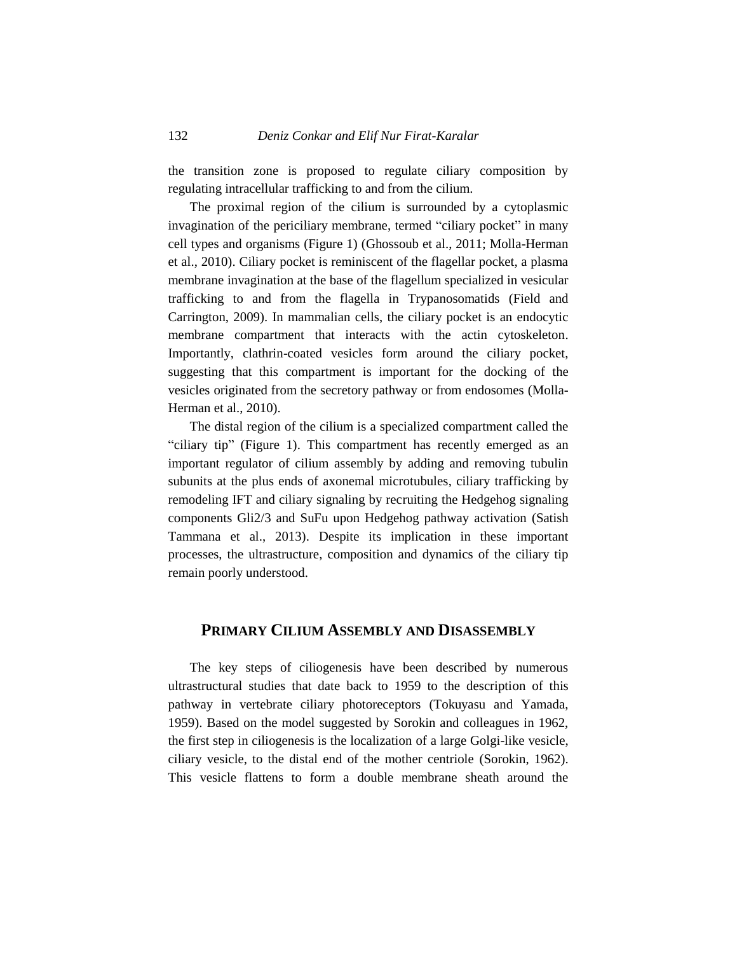the transition zone is proposed to regulate ciliary composition by regulating intracellular trafficking to and from the cilium.

The proximal region of the cilium is surrounded by a cytoplasmic invagination of the periciliary membrane, termed "ciliary pocket" in many cell types and organisms (Figure 1) (Ghossoub et al., 2011; Molla-Herman et al., 2010). Ciliary pocket is reminiscent of the flagellar pocket, a plasma membrane invagination at the base of the flagellum specialized in vesicular trafficking to and from the flagella in Trypanosomatids (Field and Carrington, 2009). In mammalian cells, the ciliary pocket is an endocytic membrane compartment that interacts with the actin cytoskeleton. Importantly, clathrin-coated vesicles form around the ciliary pocket, suggesting that this compartment is important for the docking of the vesicles originated from the secretory pathway or from endosomes (Molla-Herman et al., 2010).

The distal region of the cilium is a specialized compartment called the "ciliary tip" (Figure 1). This compartment has recently emerged as an important regulator of cilium assembly by adding and removing tubulin subunits at the plus ends of axonemal microtubules, ciliary trafficking by remodeling IFT and ciliary signaling by recruiting the Hedgehog signaling components Gli2/3 and SuFu upon Hedgehog pathway activation (Satish Tammana et al., 2013). Despite its implication in these important processes, the ultrastructure, composition and dynamics of the ciliary tip remain poorly understood.

# **PRIMARY CILIUM ASSEMBLY AND DISASSEMBLY**

The key steps of ciliogenesis have been described by numerous ultrastructural studies that date back to 1959 to the description of this pathway in vertebrate ciliary photoreceptors (Tokuyasu and Yamada, 1959). Based on the model suggested by Sorokin and colleagues in 1962, the first step in ciliogenesis is the localization of a large Golgi-like vesicle, ciliary vesicle, to the distal end of the mother centriole (Sorokin, 1962). This vesicle flattens to form a double membrane sheath around the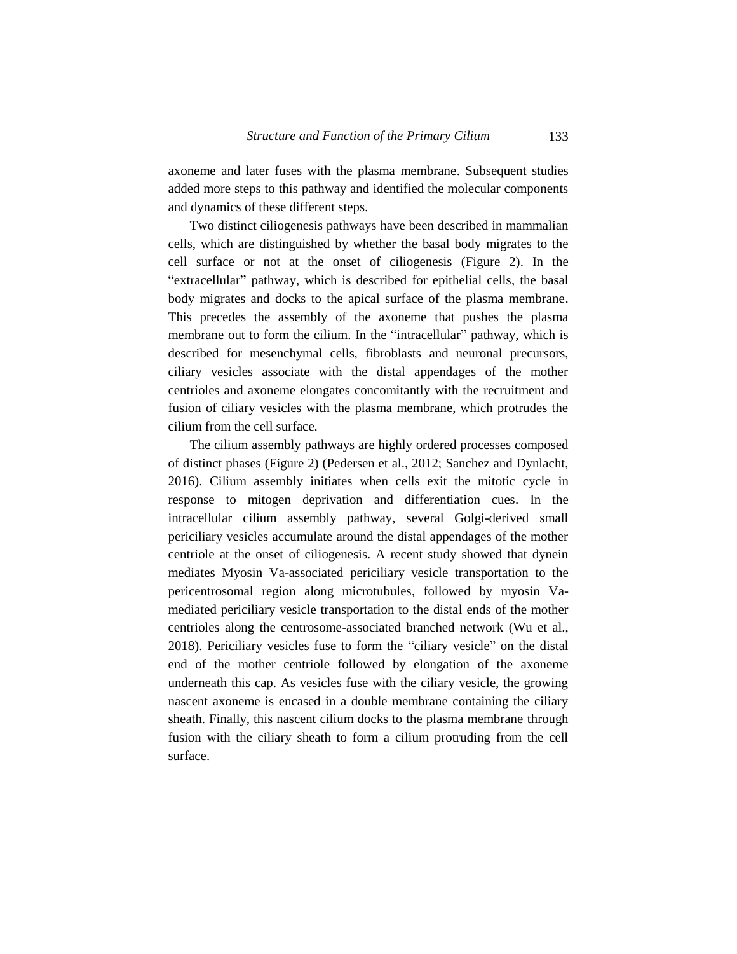axoneme and later fuses with the plasma membrane. Subsequent studies added more steps to this pathway and identified the molecular components and dynamics of these different steps.

Two distinct ciliogenesis pathways have been described in mammalian cells, which are distinguished by whether the basal body migrates to the cell surface or not at the onset of ciliogenesis (Figure 2). In the "extracellular" pathway, which is described for epithelial cells, the basal body migrates and docks to the apical surface of the plasma membrane. This precedes the assembly of the axoneme that pushes the plasma membrane out to form the cilium. In the "intracellular" pathway, which is described for mesenchymal cells, fibroblasts and neuronal precursors, ciliary vesicles associate with the distal appendages of the mother centrioles and axoneme elongates concomitantly with the recruitment and fusion of ciliary vesicles with the plasma membrane, which protrudes the cilium from the cell surface.

The cilium assembly pathways are highly ordered processes composed of distinct phases (Figure 2) (Pedersen et al., 2012; Sanchez and Dynlacht, 2016). Cilium assembly initiates when cells exit the mitotic cycle in response to mitogen deprivation and differentiation cues. In the intracellular cilium assembly pathway, several Golgi-derived small periciliary vesicles accumulate around the distal appendages of the mother centriole at the onset of ciliogenesis. A recent study showed that dynein mediates Myosin Va-associated periciliary vesicle transportation to the pericentrosomal region along microtubules, followed by myosin Vamediated periciliary vesicle transportation to the distal ends of the mother centrioles along the centrosome-associated branched network (Wu et al., 2018). Periciliary vesicles fuse to form the "ciliary vesicle" on the distal end of the mother centriole followed by elongation of the axoneme underneath this cap. As vesicles fuse with the ciliary vesicle, the growing nascent axoneme is encased in a double membrane containing the ciliary sheath. Finally, this nascent cilium docks to the plasma membrane through fusion with the ciliary sheath to form a cilium protruding from the cell surface.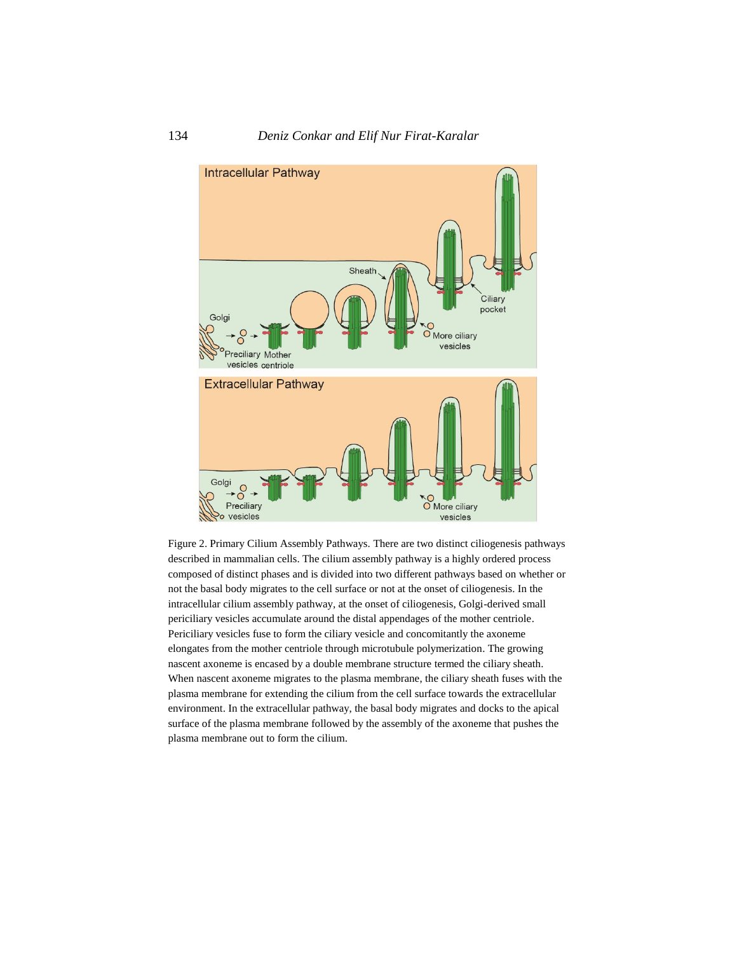



Figure 2. Primary Cilium Assembly Pathways. There are two distinct ciliogenesis pathways described in mammalian cells. The cilium assembly pathway is a highly ordered process composed of distinct phases and is divided into two different pathways based on whether or not the basal body migrates to the cell surface or not at the onset of ciliogenesis. In the intracellular cilium assembly pathway, at the onset of ciliogenesis, Golgi-derived small periciliary vesicles accumulate around the distal appendages of the mother centriole. Periciliary vesicles fuse to form the ciliary vesicle and concomitantly the axoneme elongates from the mother centriole through microtubule polymerization. The growing nascent axoneme is encased by a double membrane structure termed the ciliary sheath. When nascent axoneme migrates to the plasma membrane, the ciliary sheath fuses with the plasma membrane for extending the cilium from the cell surface towards the extracellular environment. In the extracellular pathway, the basal body migrates and docks to the apical surface of the plasma membrane followed by the assembly of the axoneme that pushes the plasma membrane out to form the cilium.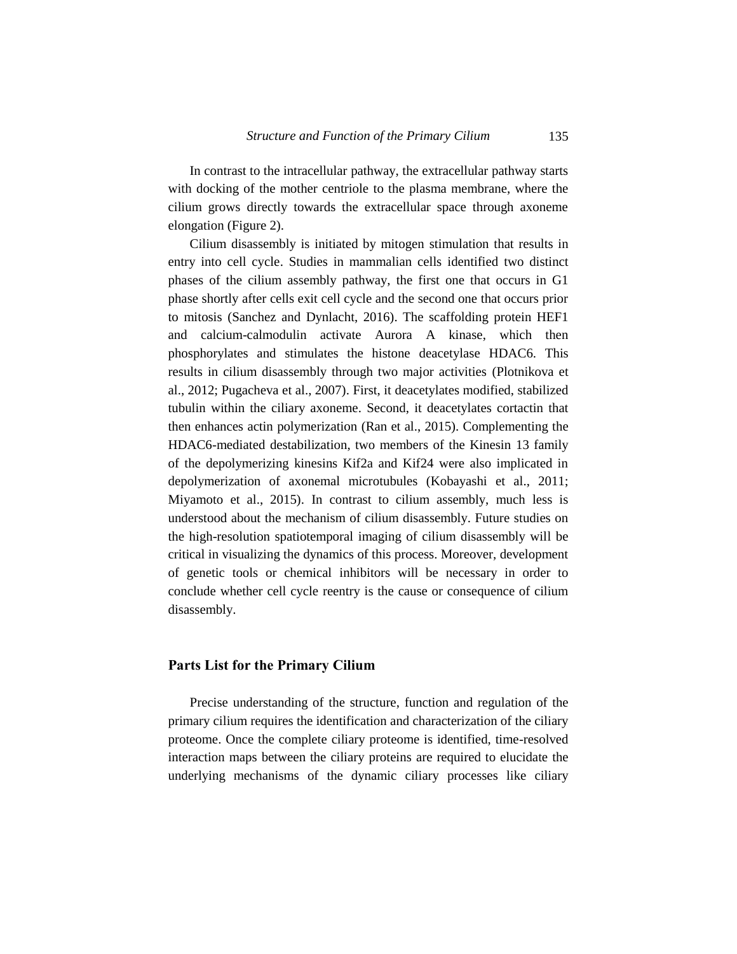In contrast to the intracellular pathway, the extracellular pathway starts with docking of the mother centriole to the plasma membrane, where the cilium grows directly towards the extracellular space through axoneme elongation (Figure 2).

Cilium disassembly is initiated by mitogen stimulation that results in entry into cell cycle. Studies in mammalian cells identified two distinct phases of the cilium assembly pathway, the first one that occurs in G1 phase shortly after cells exit cell cycle and the second one that occurs prior to mitosis (Sanchez and Dynlacht, 2016). The scaffolding protein HEF1 and calcium-calmodulin activate Aurora A kinase, which then phosphorylates and stimulates the histone deacetylase HDAC6. This results in cilium disassembly through two major activities (Plotnikova et al., 2012; Pugacheva et al., 2007). First, it deacetylates modified, stabilized tubulin within the ciliary axoneme. Second, it deacetylates cortactin that then enhances actin polymerization (Ran et al., 2015). Complementing the HDAC6-mediated destabilization, two members of the Kinesin 13 family of the depolymerizing kinesins Kif2a and Kif24 were also implicated in depolymerization of axonemal microtubules (Kobayashi et al., 2011; Miyamoto et al., 2015). In contrast to cilium assembly, much less is understood about the mechanism of cilium disassembly. Future studies on the high-resolution spatiotemporal imaging of cilium disassembly will be critical in visualizing the dynamics of this process. Moreover, development of genetic tools or chemical inhibitors will be necessary in order to conclude whether cell cycle reentry is the cause or consequence of cilium disassembly.

### **Parts List for the Primary Cilium**

Precise understanding of the structure, function and regulation of the primary cilium requires the identification and characterization of the ciliary proteome. Once the complete ciliary proteome is identified, time-resolved interaction maps between the ciliary proteins are required to elucidate the underlying mechanisms of the dynamic ciliary processes like ciliary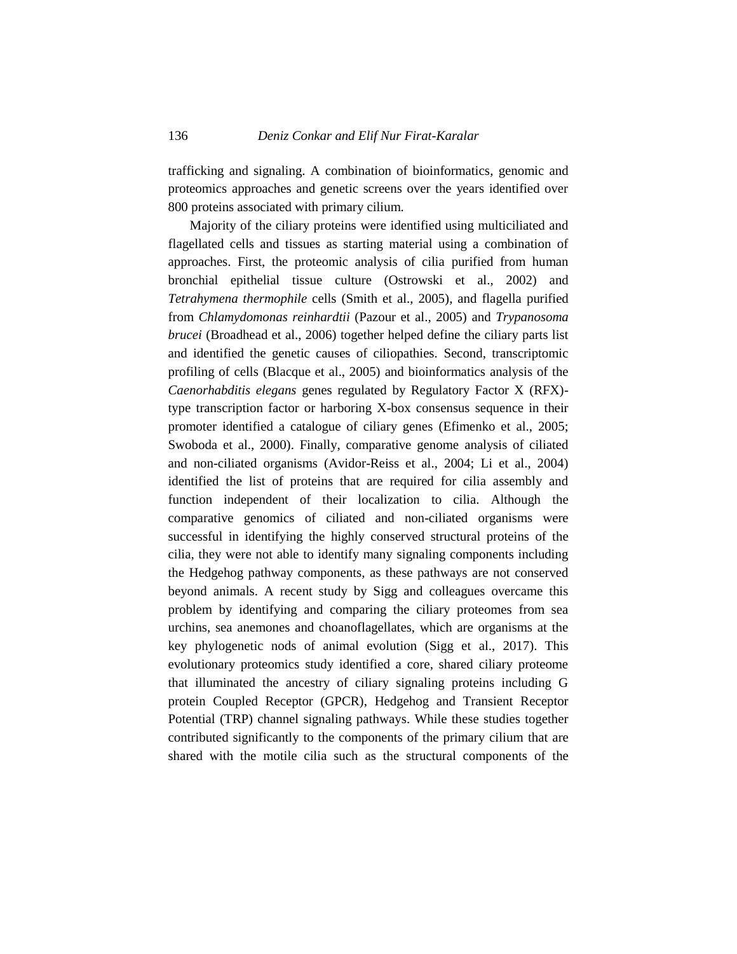trafficking and signaling. A combination of bioinformatics, genomic and proteomics approaches and genetic screens over the years identified over 800 proteins associated with primary cilium.

Majority of the ciliary proteins were identified using multiciliated and flagellated cells and tissues as starting material using a combination of approaches. First, the proteomic analysis of cilia purified from human bronchial epithelial tissue culture (Ostrowski et al., 2002) and *Tetrahymena thermophile* cells (Smith et al., 2005), and flagella purified from *Chlamydomonas reinhardtii* (Pazour et al., 2005) and *Trypanosoma brucei* (Broadhead et al., 2006) together helped define the ciliary parts list and identified the genetic causes of ciliopathies. Second, transcriptomic profiling of cells (Blacque et al., 2005) and bioinformatics analysis of the *Caenorhabditis elegans* genes regulated by Regulatory Factor X (RFX) type transcription factor or harboring X-box consensus sequence in their promoter identified a catalogue of ciliary genes (Efimenko et al., 2005; Swoboda et al., 2000). Finally, comparative genome analysis of ciliated and non-ciliated organisms (Avidor-Reiss et al., 2004; Li et al., 2004) identified the list of proteins that are required for cilia assembly and function independent of their localization to cilia. Although the comparative genomics of ciliated and non-ciliated organisms were successful in identifying the highly conserved structural proteins of the cilia, they were not able to identify many signaling components including the Hedgehog pathway components, as these pathways are not conserved beyond animals. A recent study by Sigg and colleagues overcame this problem by identifying and comparing the ciliary proteomes from sea urchins, sea anemones and choanoflagellates, which are organisms at the key phylogenetic nods of animal evolution (Sigg et al., 2017). This evolutionary proteomics study identified a core, shared ciliary proteome that illuminated the ancestry of ciliary signaling proteins including G protein Coupled Receptor (GPCR), Hedgehog and Transient Receptor Potential (TRP) channel signaling pathways. While these studies together contributed significantly to the components of the primary cilium that are shared with the motile cilia such as the structural components of the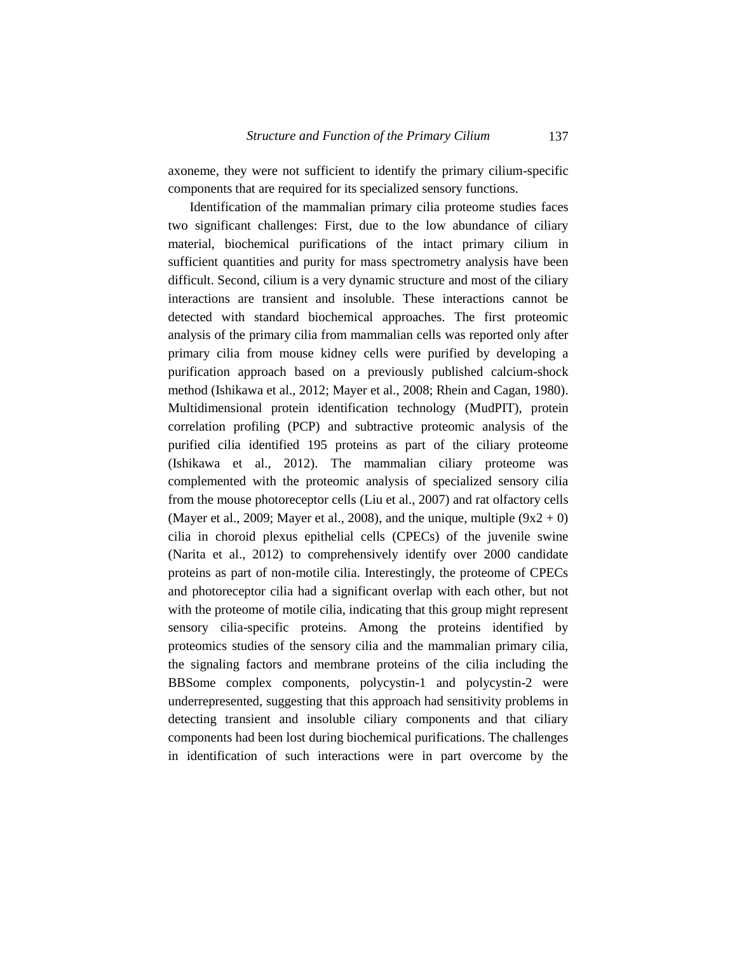axoneme, they were not sufficient to identify the primary cilium-specific components that are required for its specialized sensory functions.

Identification of the mammalian primary cilia proteome studies faces two significant challenges: First, due to the low abundance of ciliary material, biochemical purifications of the intact primary cilium in sufficient quantities and purity for mass spectrometry analysis have been difficult. Second, cilium is a very dynamic structure and most of the ciliary interactions are transient and insoluble. These interactions cannot be detected with standard biochemical approaches. The first proteomic analysis of the primary cilia from mammalian cells was reported only after primary cilia from mouse kidney cells were purified by developing a purification approach based on a previously published calcium-shock method (Ishikawa et al., 2012; Mayer et al., 2008; Rhein and Cagan, 1980). Multidimensional protein identification technology (MudPIT), protein correlation profiling (PCP) and subtractive proteomic analysis of the purified cilia identified 195 proteins as part of the ciliary proteome (Ishikawa et al., 2012). The mammalian ciliary proteome was complemented with the proteomic analysis of specialized sensory cilia from the mouse photoreceptor cells (Liu et al., 2007) and rat olfactory cells (Mayer et al., 2009; Mayer et al., 2008), and the unique, multiple  $(9x2 + 0)$ cilia in choroid plexus epithelial cells (CPECs) of the juvenile swine (Narita et al., 2012) to comprehensively identify over 2000 candidate proteins as part of non-motile cilia. Interestingly, the proteome of CPECs and photoreceptor cilia had a significant overlap with each other, but not with the proteome of motile cilia, indicating that this group might represent sensory cilia-specific proteins. Among the proteins identified by proteomics studies of the sensory cilia and the mammalian primary cilia, the signaling factors and membrane proteins of the cilia including the BBSome complex components, polycystin-1 and polycystin-2 were underrepresented, suggesting that this approach had sensitivity problems in detecting transient and insoluble ciliary components and that ciliary components had been lost during biochemical purifications. The challenges in identification of such interactions were in part overcome by the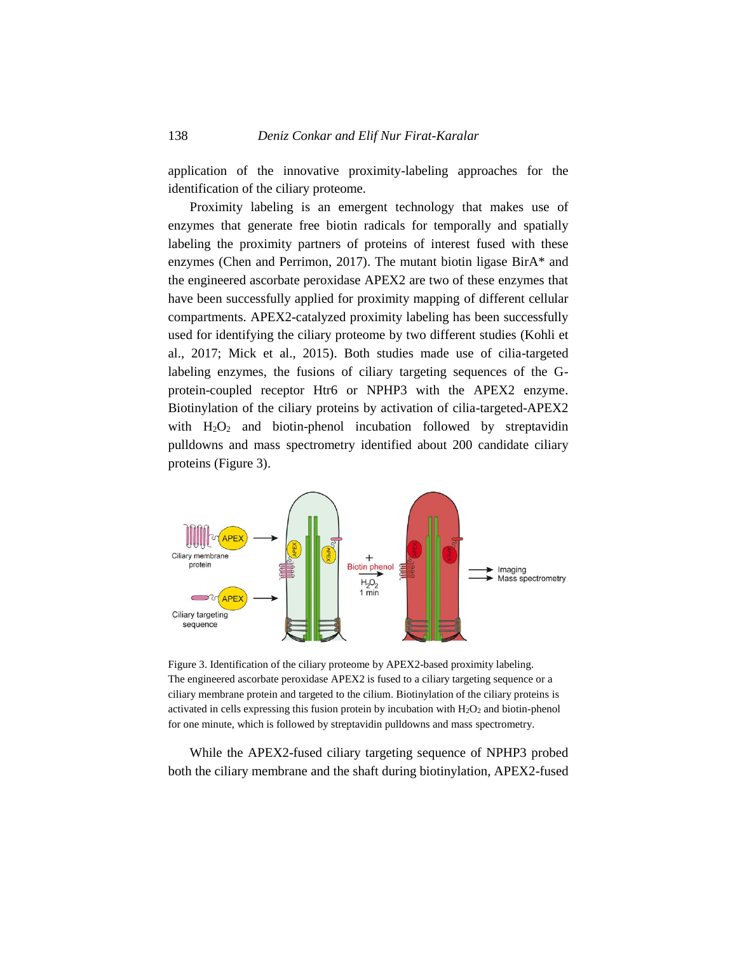application of the innovative proximity-labeling approaches for the identification of the ciliary proteome.

Proximity labeling is an emergent technology that makes use of enzymes that generate free biotin radicals for temporally and spatially labeling the proximity partners of proteins of interest fused with these enzymes (Chen and Perrimon, 2017). The mutant biotin ligase BirA\* and the engineered ascorbate peroxidase APEX2 are two of these enzymes that have been successfully applied for proximity mapping of different cellular compartments. APEX2-catalyzed proximity labeling has been successfully used for identifying the ciliary proteome by two different studies (Kohli et al., 2017; Mick et al., 2015). Both studies made use of cilia-targeted labeling enzymes, the fusions of ciliary targeting sequences of the Gprotein-coupled receptor Htr6 or NPHP3 with the APEX2 enzyme. Biotinylation of the ciliary proteins by activation of cilia-targeted-APEX2 with  $H_2O_2$  and biotin-phenol incubation followed by streptavidin pulldowns and mass spectrometry identified about 200 candidate ciliary proteins (Figure 3).



Figure 3. Identification of the ciliary proteome by APEX2-based proximity labeling. The engineered ascorbate peroxidase APEX2 is fused to a ciliary targeting sequence or a ciliary membrane protein and targeted to the cilium. Biotinylation of the ciliary proteins is activated in cells expressing this fusion protein by incubation with  $H_2O_2$  and biotin-phenol for one minute, which is followed by streptavidin pulldowns and mass spectrometry.

While the APEX2-fused ciliary targeting sequence of NPHP3 probed both the ciliary membrane and the shaft during biotinylation, APEX2-fused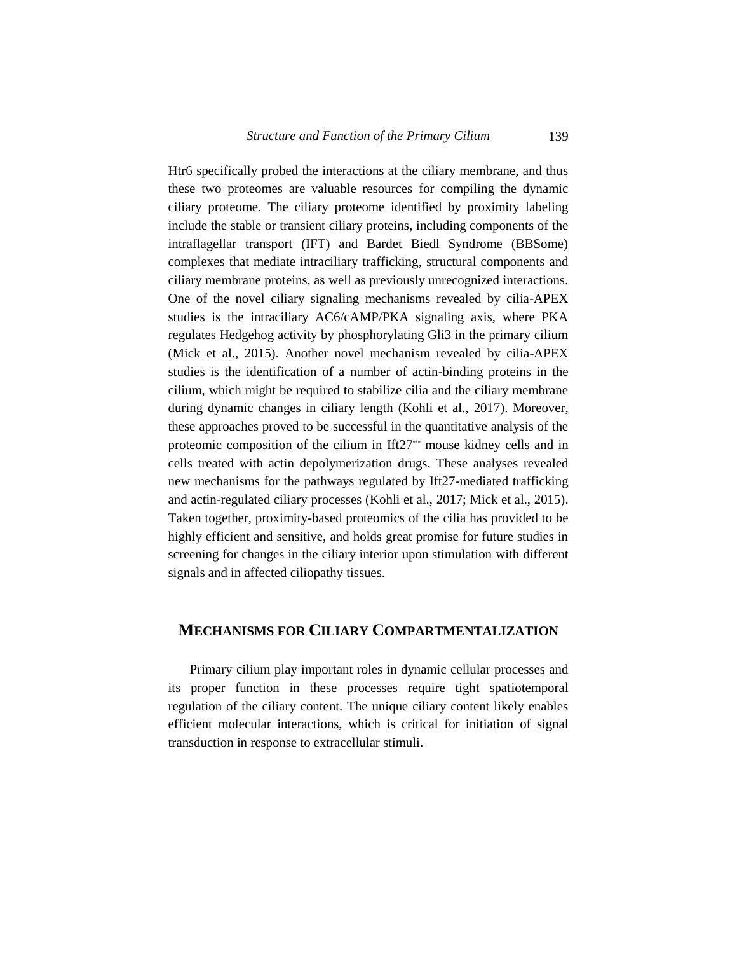Htr6 specifically probed the interactions at the ciliary membrane, and thus these two proteomes are valuable resources for compiling the dynamic ciliary proteome. The ciliary proteome identified by proximity labeling include the stable or transient ciliary proteins, including components of the intraflagellar transport (IFT) and Bardet Biedl Syndrome (BBSome) complexes that mediate intraciliary trafficking, structural components and ciliary membrane proteins, as well as previously unrecognized interactions. One of the novel ciliary signaling mechanisms revealed by cilia-APEX studies is the intraciliary AC6/cAMP/PKA signaling axis, where PKA regulates Hedgehog activity by phosphorylating Gli3 in the primary cilium (Mick et al., 2015). Another novel mechanism revealed by cilia-APEX studies is the identification of a number of actin-binding proteins in the cilium, which might be required to stabilize cilia and the ciliary membrane during dynamic changes in ciliary length (Kohli et al., 2017). Moreover, these approaches proved to be successful in the quantitative analysis of the proteomic composition of the cilium in Ift27 $\cdot$  mouse kidney cells and in cells treated with actin depolymerization drugs. These analyses revealed new mechanisms for the pathways regulated by Ift27-mediated trafficking and actin-regulated ciliary processes (Kohli et al., 2017; Mick et al., 2015). Taken together, proximity-based proteomics of the cilia has provided to be highly efficient and sensitive, and holds great promise for future studies in screening for changes in the ciliary interior upon stimulation with different signals and in affected ciliopathy tissues.

# **MECHANISMS FOR CILIARY COMPARTMENTALIZATION**

Primary cilium play important roles in dynamic cellular processes and its proper function in these processes require tight spatiotemporal regulation of the ciliary content. The unique ciliary content likely enables efficient molecular interactions, which is critical for initiation of signal transduction in response to extracellular stimuli.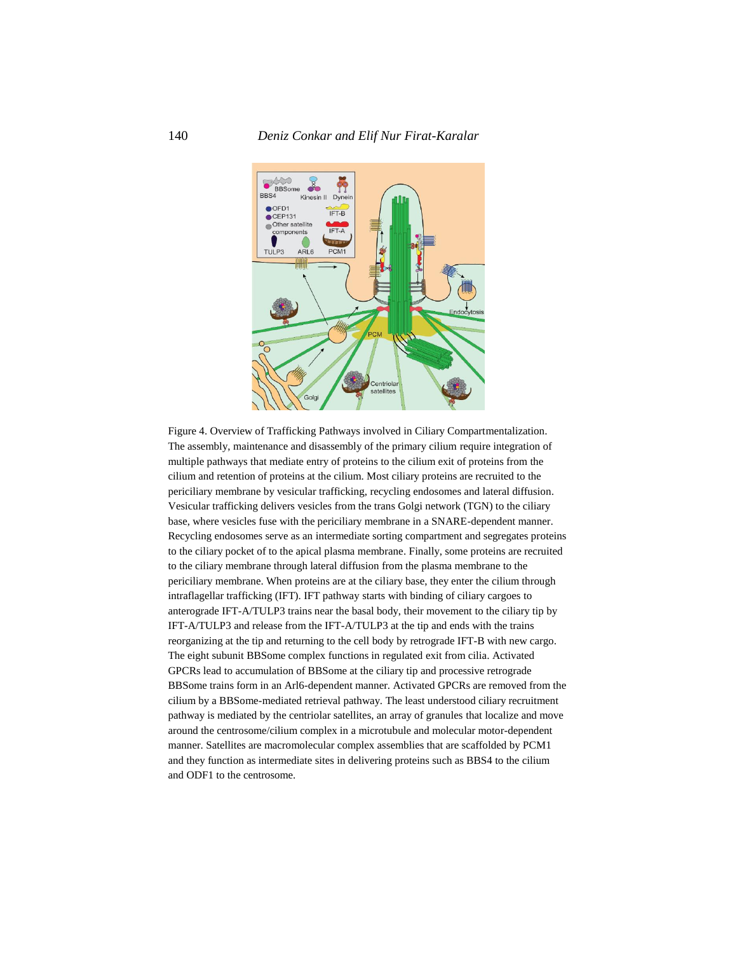

Figure 4. Overview of Trafficking Pathways involved in Ciliary Compartmentalization. The assembly, maintenance and disassembly of the primary cilium require integration of multiple pathways that mediate entry of proteins to the cilium exit of proteins from the cilium and retention of proteins at the cilium. Most ciliary proteins are recruited to the periciliary membrane by vesicular trafficking, recycling endosomes and lateral diffusion. Vesicular trafficking delivers vesicles from the trans Golgi network (TGN) to the ciliary base, where vesicles fuse with the periciliary membrane in a SNARE-dependent manner. Recycling endosomes serve as an intermediate sorting compartment and segregates proteins to the ciliary pocket of to the apical plasma membrane. Finally, some proteins are recruited to the ciliary membrane through lateral diffusion from the plasma membrane to the periciliary membrane. When proteins are at the ciliary base, they enter the cilium through intraflagellar trafficking (IFT). IFT pathway starts with binding of ciliary cargoes to anterograde IFT-A/TULP3 trains near the basal body, their movement to the ciliary tip by IFT-A/TULP3 and release from the IFT-A/TULP3 at the tip and ends with the trains reorganizing at the tip and returning to the cell body by retrograde IFT-B with new cargo. The eight subunit BBSome complex functions in regulated exit from cilia. Activated GPCRs lead to accumulation of BBSome at the ciliary tip and processive retrograde BBSome trains form in an Arl6-dependent manner. Activated GPCRs are removed from the cilium by a BBSome-mediated retrieval pathway. The least understood ciliary recruitment pathway is mediated by the centriolar satellites, an array of granules that localize and move around the centrosome/cilium complex in a microtubule and molecular motor-dependent manner. Satellites are macromolecular complex assemblies that are scaffolded by PCM1 and they function as intermediate sites in delivering proteins such as BBS4 to the cilium and ODF1 to the centrosome.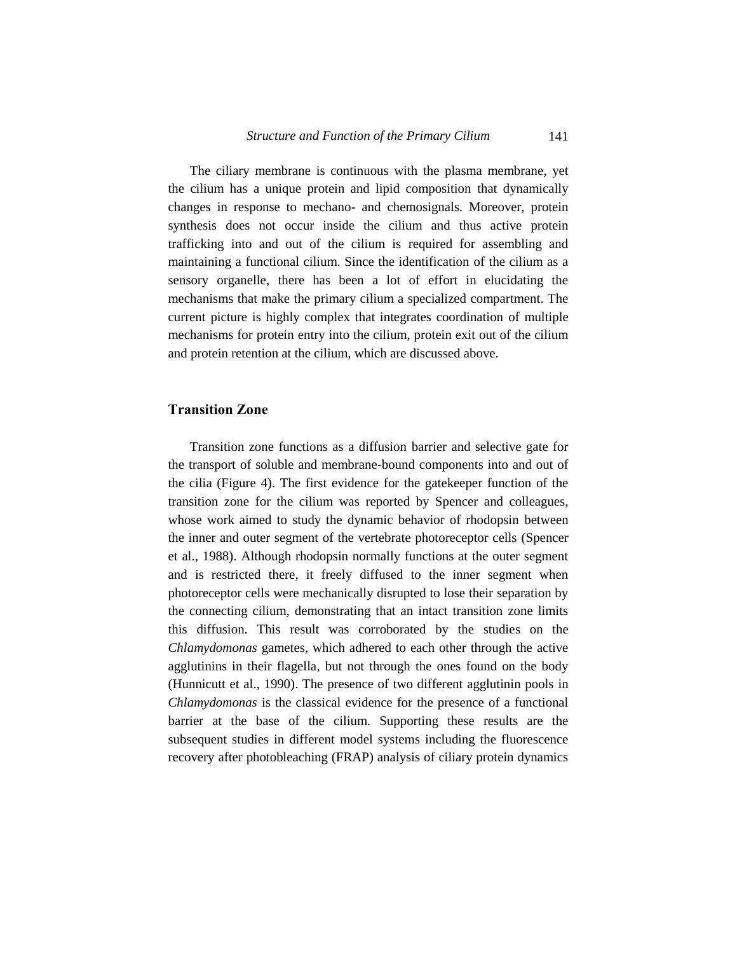The ciliary membrane is continuous with the plasma membrane, yet the cilium has a unique protein and lipid composition that dynamically changes in response to mechano- and chemosignals. Moreover, protein synthesis does not occur inside the cilium and thus active protein trafficking into and out of the cilium is required for assembling and maintaining a functional cilium. Since the identification of the cilium as a sensory organelle, there has been a lot of effort in elucidating the mechanisms that make the primary cilium a specialized compartment. The current picture is highly complex that integrates coordination of multiple mechanisms for protein entry into the cilium, protein exit out of the cilium and protein retention at the cilium, which are discussed above.

### **Transition Zone**

Transition zone functions as a diffusion barrier and selective gate for the transport of soluble and membrane-bound components into and out of the cilia (Figure 4). The first evidence for the gatekeeper function of the transition zone for the cilium was reported by Spencer and colleagues, whose work aimed to study the dynamic behavior of rhodopsin between the inner and outer segment of the vertebrate photoreceptor cells (Spencer et al., 1988). Although rhodopsin normally functions at the outer segment and is restricted there, it freely diffused to the inner segment when photoreceptor cells were mechanically disrupted to lose their separation by the connecting cilium, demonstrating that an intact transition zone limits this diffusion. This result was corroborated by the studies on the *Chlamydomonas* gametes, which adhered to each other through the active agglutinins in their flagella, but not through the ones found on the body (Hunnicutt et al., 1990). The presence of two different agglutinin pools in *Chlamydomonas* is the classical evidence for the presence of a functional barrier at the base of the cilium. Supporting these results are the subsequent studies in different model systems including the fluorescence recovery after photobleaching (FRAP) analysis of ciliary protein dynamics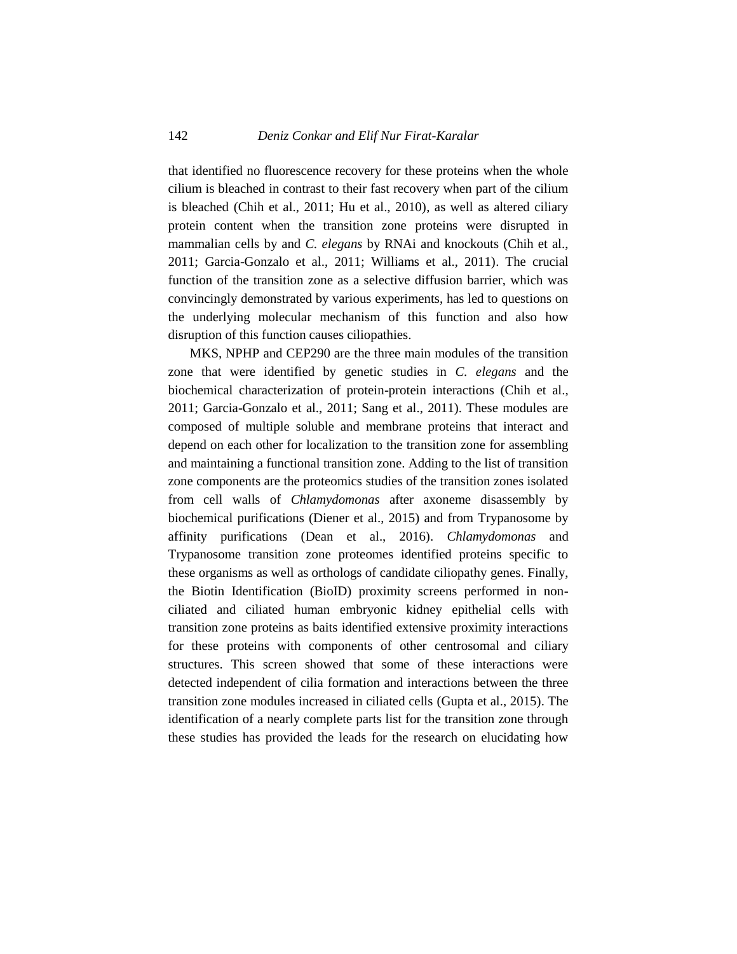that identified no fluorescence recovery for these proteins when the whole cilium is bleached in contrast to their fast recovery when part of the cilium is bleached (Chih et al., 2011; Hu et al., 2010), as well as altered ciliary protein content when the transition zone proteins were disrupted in mammalian cells by and *C. elegans* by RNAi and knockouts (Chih et al., 2011; Garcia-Gonzalo et al., 2011; Williams et al., 2011). The crucial function of the transition zone as a selective diffusion barrier, which was convincingly demonstrated by various experiments, has led to questions on the underlying molecular mechanism of this function and also how disruption of this function causes ciliopathies.

MKS, NPHP and CEP290 are the three main modules of the transition zone that were identified by genetic studies in *C. elegans* and the biochemical characterization of protein-protein interactions (Chih et al., 2011; Garcia-Gonzalo et al., 2011; Sang et al., 2011). These modules are composed of multiple soluble and membrane proteins that interact and depend on each other for localization to the transition zone for assembling and maintaining a functional transition zone. Adding to the list of transition zone components are the proteomics studies of the transition zones isolated from cell walls of *Chlamydomonas* after axoneme disassembly by biochemical purifications (Diener et al., 2015) and from Trypanosome by affinity purifications (Dean et al., 2016). *Chlamydomonas* and Trypanosome transition zone proteomes identified proteins specific to these organisms as well as orthologs of candidate ciliopathy genes. Finally, the Biotin Identification (BioID) proximity screens performed in nonciliated and ciliated human embryonic kidney epithelial cells with transition zone proteins as baits identified extensive proximity interactions for these proteins with components of other centrosomal and ciliary structures. This screen showed that some of these interactions were detected independent of cilia formation and interactions between the three transition zone modules increased in ciliated cells (Gupta et al., 2015). The identification of a nearly complete parts list for the transition zone through these studies has provided the leads for the research on elucidating how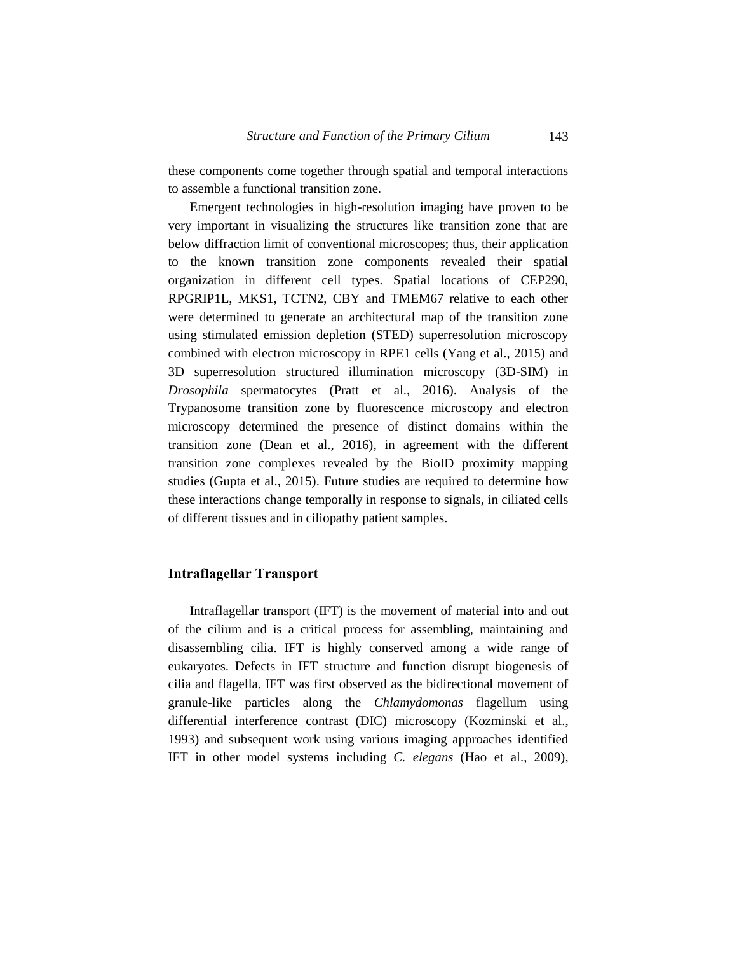these components come together through spatial and temporal interactions to assemble a functional transition zone.

Emergent technologies in high-resolution imaging have proven to be very important in visualizing the structures like transition zone that are below diffraction limit of conventional microscopes; thus, their application to the known transition zone components revealed their spatial organization in different cell types. Spatial locations of CEP290, RPGRIP1L, MKS1, TCTN2, CBY and TMEM67 relative to each other were determined to generate an architectural map of the transition zone using stimulated emission depletion (STED) superresolution microscopy combined with electron microscopy in RPE1 cells (Yang et al., 2015) and 3D superresolution structured illumination microscopy (3D-SIM) in *Drosophila* spermatocytes (Pratt et al., 2016). Analysis of the Trypanosome transition zone by fluorescence microscopy and electron microscopy determined the presence of distinct domains within the transition zone (Dean et al., 2016), in agreement with the different transition zone complexes revealed by the BioID proximity mapping studies (Gupta et al., 2015). Future studies are required to determine how these interactions change temporally in response to signals, in ciliated cells of different tissues and in ciliopathy patient samples.

#### **Intraflagellar Transport**

Intraflagellar transport (IFT) is the movement of material into and out of the cilium and is a critical process for assembling, maintaining and disassembling cilia. IFT is highly conserved among a wide range of eukaryotes. Defects in IFT structure and function disrupt biogenesis of cilia and flagella. IFT was first observed as the bidirectional movement of granule-like particles along the *Chlamydomonas* flagellum using differential interference contrast (DIC) microscopy (Kozminski et al., 1993) and subsequent work using various imaging approaches identified IFT in other model systems including *C. elegans* (Hao et al., 2009),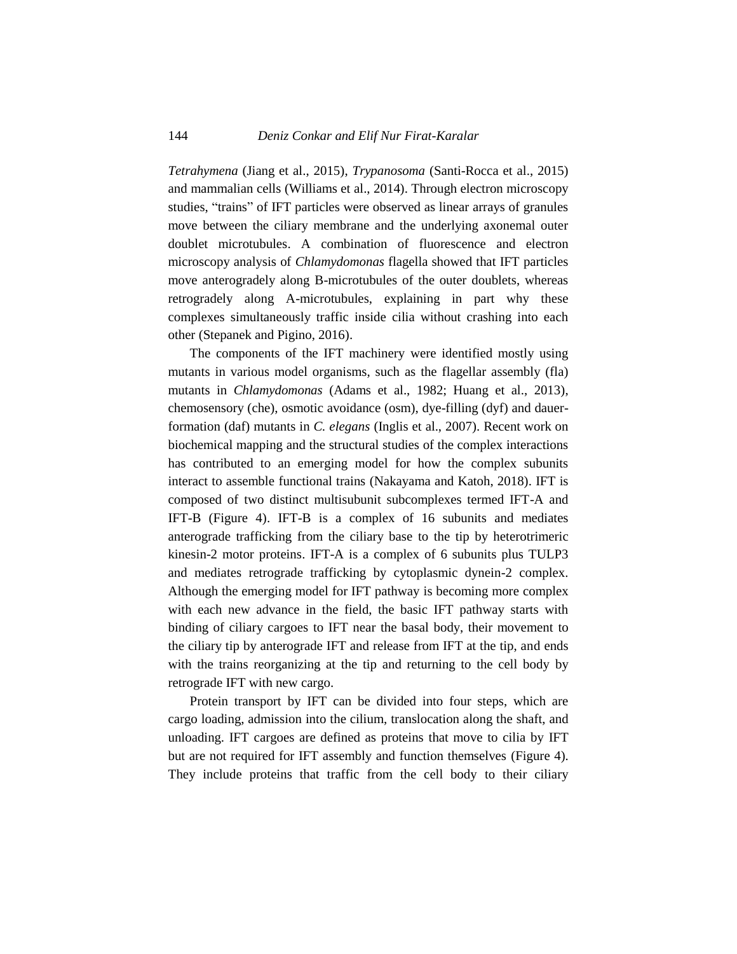*Tetrahymena* (Jiang et al., 2015), *Trypanosoma* (Santi-Rocca et al., 2015) and mammalian cells (Williams et al., 2014). Through electron microscopy studies, "trains" of IFT particles were observed as linear arrays of granules move between the ciliary membrane and the underlying axonemal outer doublet microtubules. A combination of fluorescence and electron microscopy analysis of *Chlamydomonas* flagella showed that IFT particles move anterogradely along B-microtubules of the outer doublets, whereas retrogradely along A-microtubules, explaining in part why these complexes simultaneously traffic inside cilia without crashing into each other (Stepanek and Pigino, 2016).

The components of the IFT machinery were identified mostly using mutants in various model organisms, such as the flagellar assembly (fla) mutants in *Chlamydomonas* (Adams et al., 1982; Huang et al., 2013), chemosensory (che), osmotic avoidance (osm), dye-filling (dyf) and dauerformation (daf) mutants in *C. elegans* (Inglis et al., 2007). Recent work on biochemical mapping and the structural studies of the complex interactions has contributed to an emerging model for how the complex subunits interact to assemble functional trains (Nakayama and Katoh, 2018). IFT is composed of two distinct multisubunit subcomplexes termed IFT-A and IFT-B (Figure 4). IFT-B is a complex of 16 subunits and mediates anterograde trafficking from the ciliary base to the tip by heterotrimeric kinesin-2 motor proteins. IFT-A is a complex of 6 subunits plus TULP3 and mediates retrograde trafficking by cytoplasmic dynein-2 complex. Although the emerging model for IFT pathway is becoming more complex with each new advance in the field, the basic IFT pathway starts with binding of ciliary cargoes to IFT near the basal body, their movement to the ciliary tip by anterograde IFT and release from IFT at the tip, and ends with the trains reorganizing at the tip and returning to the cell body by retrograde IFT with new cargo.

Protein transport by IFT can be divided into four steps, which are cargo loading, admission into the cilium, translocation along the shaft, and unloading. IFT cargoes are defined as proteins that move to cilia by IFT but are not required for IFT assembly and function themselves (Figure 4). They include proteins that traffic from the cell body to their ciliary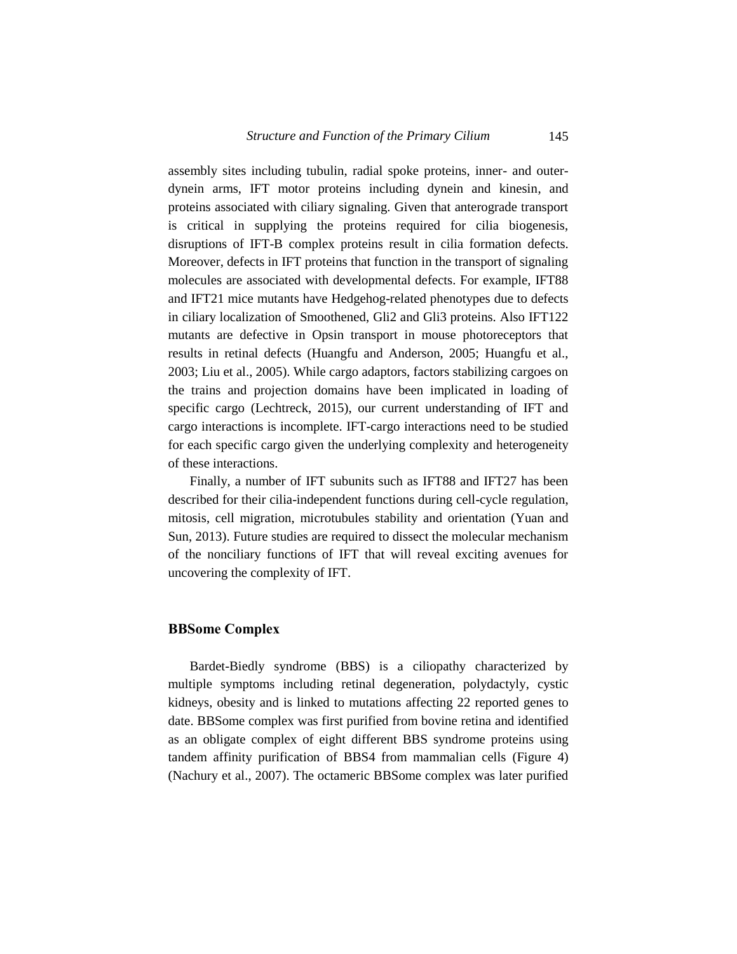assembly sites including tubulin, radial spoke proteins, inner- and outerdynein arms, IFT motor proteins including dynein and kinesin, and proteins associated with ciliary signaling. Given that anterograde transport is critical in supplying the proteins required for cilia biogenesis, disruptions of IFT-B complex proteins result in cilia formation defects. Moreover, defects in IFT proteins that function in the transport of signaling molecules are associated with developmental defects. For example, IFT88 and IFT21 mice mutants have Hedgehog-related phenotypes due to defects in ciliary localization of Smoothened, Gli2 and Gli3 proteins. Also IFT122 mutants are defective in Opsin transport in mouse photoreceptors that results in retinal defects (Huangfu and Anderson, 2005; Huangfu et al., 2003; Liu et al., 2005). While cargo adaptors, factors stabilizing cargoes on the trains and projection domains have been implicated in loading of specific cargo (Lechtreck, 2015), our current understanding of IFT and cargo interactions is incomplete. IFT-cargo interactions need to be studied for each specific cargo given the underlying complexity and heterogeneity of these interactions.

Finally, a number of IFT subunits such as IFT88 and IFT27 has been described for their cilia-independent functions during cell-cycle regulation, mitosis, cell migration, microtubules stability and orientation (Yuan and Sun, 2013). Future studies are required to dissect the molecular mechanism of the nonciliary functions of IFT that will reveal exciting avenues for uncovering the complexity of IFT.

#### **BBSome Complex**

Bardet-Biedly syndrome (BBS) is a ciliopathy characterized by multiple symptoms including retinal degeneration, polydactyly, cystic kidneys, obesity and is linked to mutations affecting 22 reported genes to date. BBSome complex was first purified from bovine retina and identified as an obligate complex of eight different BBS syndrome proteins using tandem affinity purification of BBS4 from mammalian cells (Figure 4) (Nachury et al., 2007). The octameric BBSome complex was later purified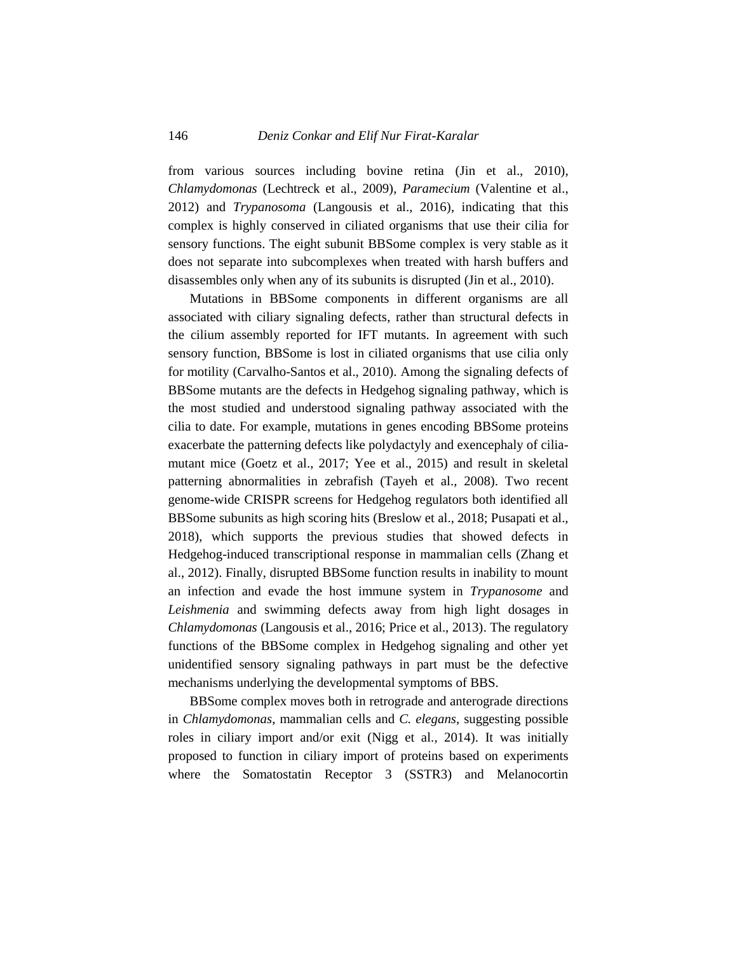from various sources including bovine retina (Jin et al., 2010), *Chlamydomonas* (Lechtreck et al., 2009), *Paramecium* (Valentine et al., 2012) and *Trypanosoma* (Langousis et al., 2016), indicating that this complex is highly conserved in ciliated organisms that use their cilia for sensory functions. The eight subunit BBSome complex is very stable as it does not separate into subcomplexes when treated with harsh buffers and disassembles only when any of its subunits is disrupted (Jin et al., 2010).

Mutations in BBSome components in different organisms are all associated with ciliary signaling defects, rather than structural defects in the cilium assembly reported for IFT mutants. In agreement with such sensory function, BBSome is lost in ciliated organisms that use cilia only for motility (Carvalho-Santos et al., 2010). Among the signaling defects of BBSome mutants are the defects in Hedgehog signaling pathway, which is the most studied and understood signaling pathway associated with the cilia to date. For example, mutations in genes encoding BBSome proteins exacerbate the patterning defects like polydactyly and exencephaly of ciliamutant mice (Goetz et al., 2017; Yee et al., 2015) and result in skeletal patterning abnormalities in zebrafish (Tayeh et al., 2008). Two recent genome-wide CRISPR screens for Hedgehog regulators both identified all BBSome subunits as high scoring hits (Breslow et al., 2018; Pusapati et al., 2018), which supports the previous studies that showed defects in Hedgehog-induced transcriptional response in mammalian cells (Zhang et al., 2012). Finally, disrupted BBSome function results in inability to mount an infection and evade the host immune system in *Trypanosome* and *Leishmenia* and swimming defects away from high light dosages in *Chlamydomonas* (Langousis et al., 2016; Price et al., 2013). The regulatory functions of the BBSome complex in Hedgehog signaling and other yet unidentified sensory signaling pathways in part must be the defective mechanisms underlying the developmental symptoms of BBS.

BBSome complex moves both in retrograde and anterograde directions in *Chlamydomonas*, mammalian cells and *C. elegans*, suggesting possible roles in ciliary import and/or exit (Nigg et al., 2014). It was initially proposed to function in ciliary import of proteins based on experiments where the Somatostatin Receptor 3 (SSTR3) and Melanocortin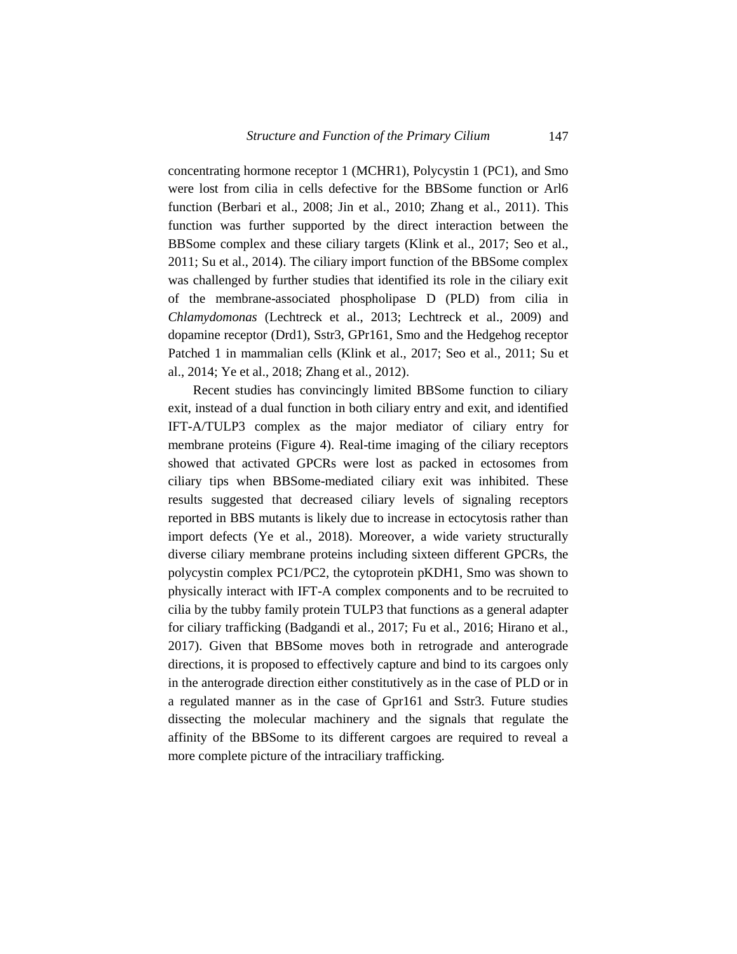concentrating hormone receptor 1 (MCHR1), Polycystin 1 (PC1), and Smo were lost from cilia in cells defective for the BBSome function or Arl6 function (Berbari et al., 2008; Jin et al., 2010; Zhang et al., 2011). This function was further supported by the direct interaction between the BBSome complex and these ciliary targets (Klink et al., 2017; Seo et al., 2011; Su et al., 2014). The ciliary import function of the BBSome complex was challenged by further studies that identified its role in the ciliary exit of the membrane-associated phospholipase D (PLD) from cilia in *Chlamydomonas* (Lechtreck et al., 2013; Lechtreck et al., 2009) and dopamine receptor (Drd1), Sstr3, GPr161, Smo and the Hedgehog receptor Patched 1 in mammalian cells (Klink et al., 2017; Seo et al., 2011; Su et al., 2014; Ye et al., 2018; Zhang et al., 2012).

Recent studies has convincingly limited BBSome function to ciliary exit, instead of a dual function in both ciliary entry and exit, and identified IFT-A/TULP3 complex as the major mediator of ciliary entry for membrane proteins (Figure 4). Real-time imaging of the ciliary receptors showed that activated GPCRs were lost as packed in ectosomes from ciliary tips when BBSome-mediated ciliary exit was inhibited. These results suggested that decreased ciliary levels of signaling receptors reported in BBS mutants is likely due to increase in ectocytosis rather than import defects (Ye et al., 2018). Moreover, a wide variety structurally diverse ciliary membrane proteins including sixteen different GPCRs, the polycystin complex PC1/PC2, the cytoprotein pKDH1, Smo was shown to physically interact with IFT-A complex components and to be recruited to cilia by the tubby family protein TULP3 that functions as a general adapter for ciliary trafficking (Badgandi et al., 2017; Fu et al., 2016; Hirano et al., 2017). Given that BBSome moves both in retrograde and anterograde directions, it is proposed to effectively capture and bind to its cargoes only in the anterograde direction either constitutively as in the case of PLD or in a regulated manner as in the case of Gpr161 and Sstr3. Future studies dissecting the molecular machinery and the signals that regulate the affinity of the BBSome to its different cargoes are required to reveal a more complete picture of the intraciliary trafficking.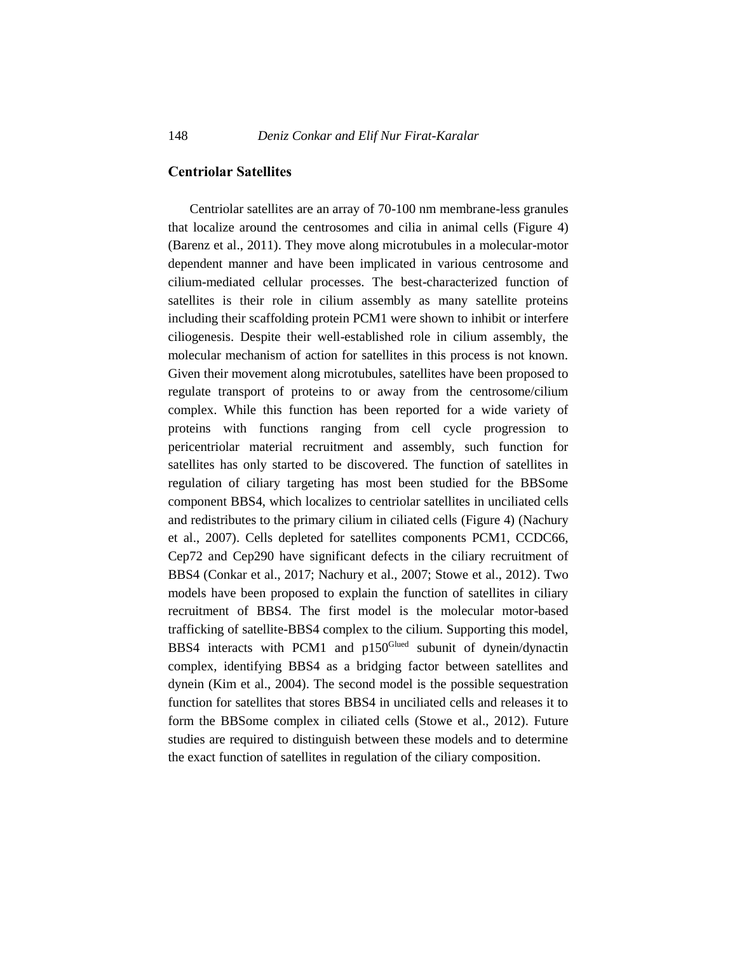## **Centriolar Satellites**

Centriolar satellites are an array of 70-100 nm membrane-less granules that localize around the centrosomes and cilia in animal cells (Figure 4) (Barenz et al., 2011). They move along microtubules in a molecular-motor dependent manner and have been implicated in various centrosome and cilium-mediated cellular processes. The best-characterized function of satellites is their role in cilium assembly as many satellite proteins including their scaffolding protein PCM1 were shown to inhibit or interfere ciliogenesis. Despite their well-established role in cilium assembly, the molecular mechanism of action for satellites in this process is not known. Given their movement along microtubules, satellites have been proposed to regulate transport of proteins to or away from the centrosome/cilium complex. While this function has been reported for a wide variety of proteins with functions ranging from cell cycle progression to pericentriolar material recruitment and assembly, such function for satellites has only started to be discovered. The function of satellites in regulation of ciliary targeting has most been studied for the BBSome component BBS4, which localizes to centriolar satellites in unciliated cells and redistributes to the primary cilium in ciliated cells (Figure 4) (Nachury et al., 2007). Cells depleted for satellites components PCM1, CCDC66, Cep72 and Cep290 have significant defects in the ciliary recruitment of BBS4 (Conkar et al., 2017; Nachury et al., 2007; Stowe et al., 2012). Two models have been proposed to explain the function of satellites in ciliary recruitment of BBS4. The first model is the molecular motor-based trafficking of satellite-BBS4 complex to the cilium. Supporting this model, BBS4 interacts with PCM1 and p150<sup>Glued</sup> subunit of dynein/dynactin complex, identifying BBS4 as a bridging factor between satellites and dynein (Kim et al., 2004). The second model is the possible sequestration function for satellites that stores BBS4 in unciliated cells and releases it to form the BBSome complex in ciliated cells (Stowe et al., 2012). Future studies are required to distinguish between these models and to determine the exact function of satellites in regulation of the ciliary composition.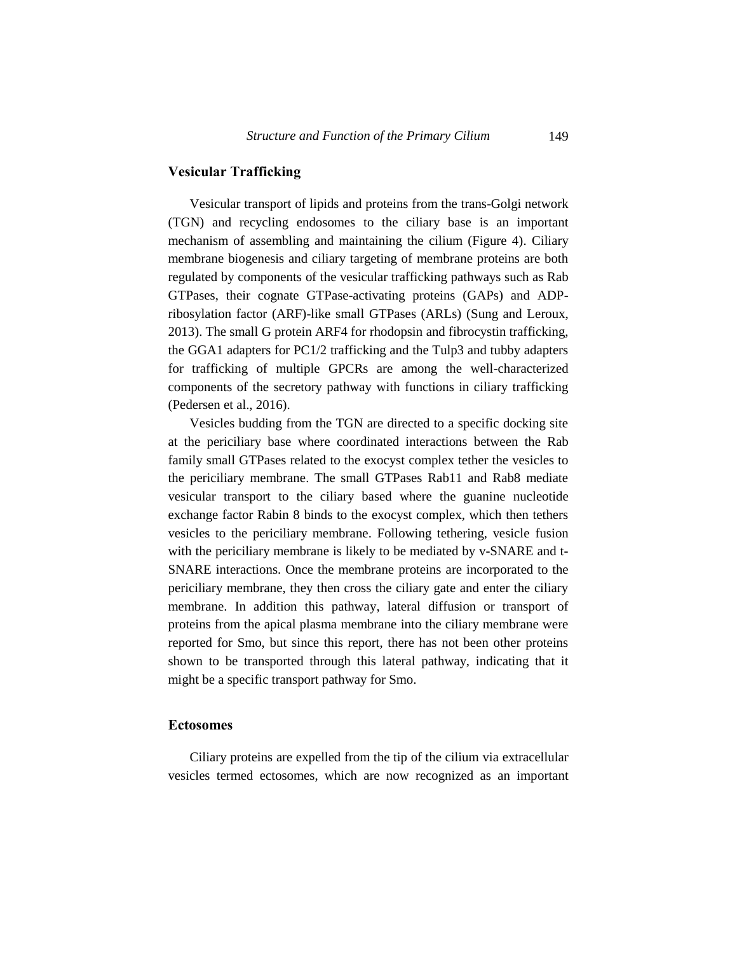# **Vesicular Trafficking**

Vesicular transport of lipids and proteins from the trans-Golgi network (TGN) and recycling endosomes to the ciliary base is an important mechanism of assembling and maintaining the cilium (Figure 4). Ciliary membrane biogenesis and ciliary targeting of membrane proteins are both regulated by components of the vesicular trafficking pathways such as Rab GTPases, their cognate GTPase-activating proteins (GAPs) and ADPribosylation factor (ARF)-like small GTPases (ARLs) (Sung and Leroux, 2013). The small G protein ARF4 for rhodopsin and fibrocystin trafficking, the GGA1 adapters for PC1/2 trafficking and the Tulp3 and tubby adapters for trafficking of multiple GPCRs are among the well-characterized components of the secretory pathway with functions in ciliary trafficking (Pedersen et al., 2016).

Vesicles budding from the TGN are directed to a specific docking site at the periciliary base where coordinated interactions between the Rab family small GTPases related to the exocyst complex tether the vesicles to the periciliary membrane. The small GTPases Rab11 and Rab8 mediate vesicular transport to the ciliary based where the guanine nucleotide exchange factor Rabin 8 binds to the exocyst complex, which then tethers vesicles to the periciliary membrane. Following tethering, vesicle fusion with the periciliary membrane is likely to be mediated by v-SNARE and t-SNARE interactions. Once the membrane proteins are incorporated to the periciliary membrane, they then cross the ciliary gate and enter the ciliary membrane. In addition this pathway, lateral diffusion or transport of proteins from the apical plasma membrane into the ciliary membrane were reported for Smo, but since this report, there has not been other proteins shown to be transported through this lateral pathway, indicating that it might be a specific transport pathway for Smo.

#### **Ectosomes**

Ciliary proteins are expelled from the tip of the cilium via extracellular vesicles termed ectosomes, which are now recognized as an important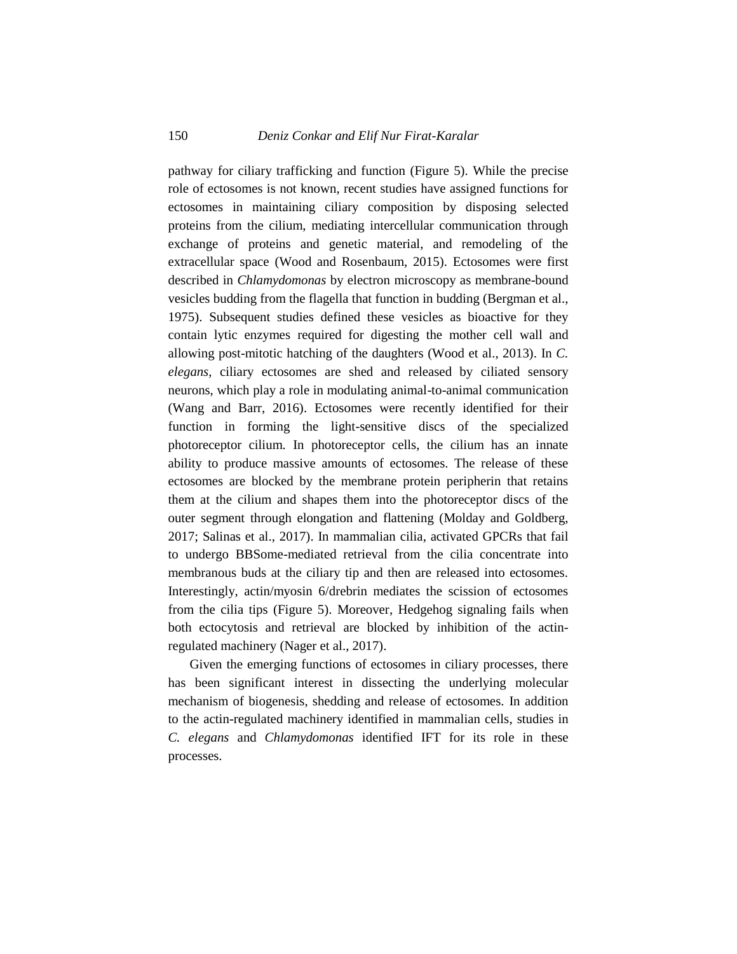pathway for ciliary trafficking and function (Figure 5). While the precise role of ectosomes is not known, recent studies have assigned functions for ectosomes in maintaining ciliary composition by disposing selected proteins from the cilium, mediating intercellular communication through exchange of proteins and genetic material, and remodeling of the extracellular space (Wood and Rosenbaum, 2015). Ectosomes were first described in *Chlamydomonas* by electron microscopy as membrane-bound vesicles budding from the flagella that function in budding (Bergman et al., 1975). Subsequent studies defined these vesicles as bioactive for they contain lytic enzymes required for digesting the mother cell wall and allowing post-mitotic hatching of the daughters (Wood et al., 2013). In *C. elegans*, ciliary ectosomes are shed and released by ciliated sensory neurons, which play a role in modulating animal-to-animal communication (Wang and Barr, 2016). Ectosomes were recently identified for their function in forming the light-sensitive discs of the specialized photoreceptor cilium. In photoreceptor cells, the cilium has an innate ability to produce massive amounts of ectosomes. The release of these ectosomes are blocked by the membrane protein peripherin that retains them at the cilium and shapes them into the photoreceptor discs of the outer segment through elongation and flattening (Molday and Goldberg, 2017; Salinas et al., 2017). In mammalian cilia, activated GPCRs that fail to undergo BBSome-mediated retrieval from the cilia concentrate into membranous buds at the ciliary tip and then are released into ectosomes. Interestingly, actin/myosin 6/drebrin mediates the scission of ectosomes from the cilia tips (Figure 5). Moreover, Hedgehog signaling fails when both ectocytosis and retrieval are blocked by inhibition of the actinregulated machinery (Nager et al., 2017).

Given the emerging functions of ectosomes in ciliary processes, there has been significant interest in dissecting the underlying molecular mechanism of biogenesis, shedding and release of ectosomes. In addition to the actin-regulated machinery identified in mammalian cells, studies in *C. elegans* and *Chlamydomonas* identified IFT for its role in these processes.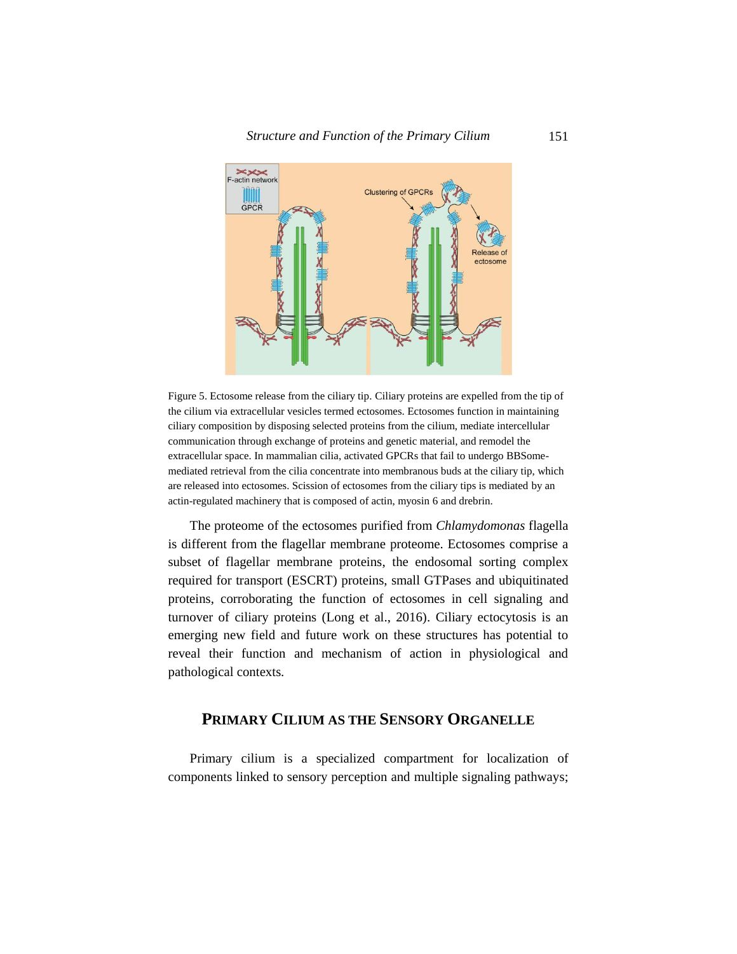

Figure 5. Ectosome release from the ciliary tip. Ciliary proteins are expelled from the tip of the cilium via extracellular vesicles termed ectosomes. Ectosomes function in maintaining ciliary composition by disposing selected proteins from the cilium, mediate intercellular communication through exchange of proteins and genetic material, and remodel the extracellular space. In mammalian cilia, activated GPCRs that fail to undergo BBSomemediated retrieval from the cilia concentrate into membranous buds at the ciliary tip, which are released into ectosomes. Scission of ectosomes from the ciliary tips is mediated by an actin-regulated machinery that is composed of actin, myosin 6 and drebrin.

The proteome of the ectosomes purified from *Chlamydomonas* flagella is different from the flagellar membrane proteome. Ectosomes comprise a subset of flagellar membrane proteins, the endosomal sorting complex required for transport (ESCRT) proteins, small GTPases and ubiquitinated proteins, corroborating the function of ectosomes in cell signaling and turnover of ciliary proteins (Long et al., 2016). Ciliary ectocytosis is an emerging new field and future work on these structures has potential to reveal their function and mechanism of action in physiological and pathological contexts.

# **PRIMARY CILIUM AS THE SENSORY ORGANELLE**

Primary cilium is a specialized compartment for localization of components linked to sensory perception and multiple signaling pathways;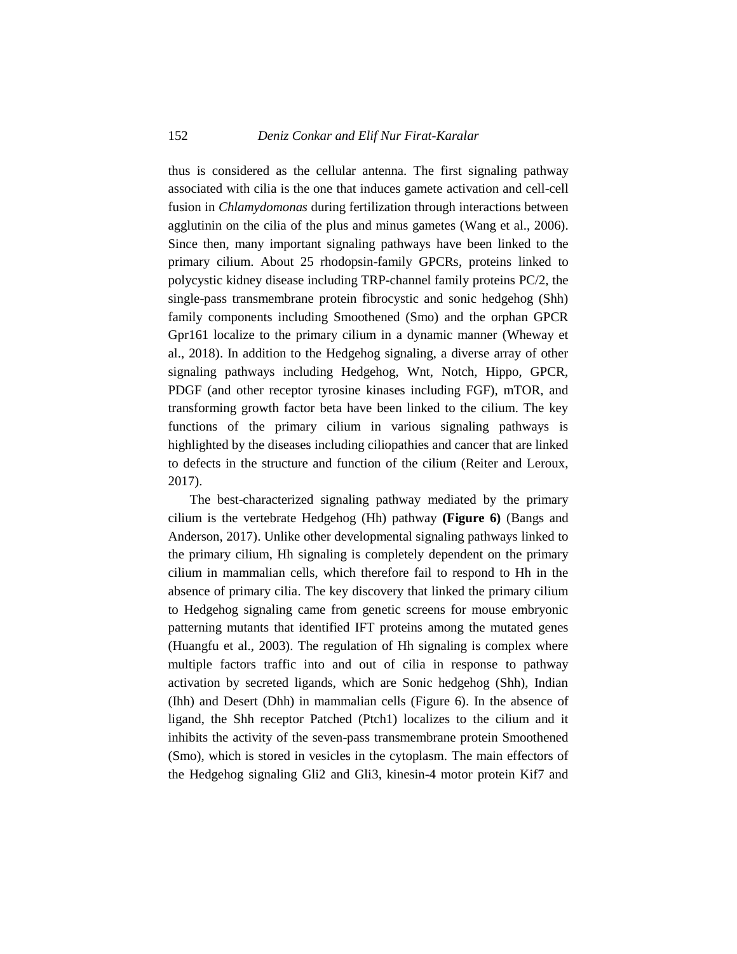thus is considered as the cellular antenna. The first signaling pathway associated with cilia is the one that induces gamete activation and cell-cell fusion in *Chlamydomonas* during fertilization through interactions between agglutinin on the cilia of the plus and minus gametes (Wang et al., 2006). Since then, many important signaling pathways have been linked to the primary cilium. About 25 rhodopsin-family GPCRs, proteins linked to polycystic kidney disease including TRP-channel family proteins PC/2, the single-pass transmembrane protein fibrocystic and sonic hedgehog (Shh) family components including Smoothened (Smo) and the orphan GPCR Gpr161 localize to the primary cilium in a dynamic manner (Wheway et al., 2018). In addition to the Hedgehog signaling, a diverse array of other signaling pathways including Hedgehog, Wnt, Notch, Hippo, GPCR, PDGF (and other receptor tyrosine kinases including FGF), mTOR, and transforming growth factor beta have been linked to the cilium. The key functions of the primary cilium in various signaling pathways is highlighted by the diseases including ciliopathies and cancer that are linked to defects in the structure and function of the cilium (Reiter and Leroux, 2017).

The best-characterized signaling pathway mediated by the primary cilium is the vertebrate Hedgehog (Hh) pathway **(Figure 6)** (Bangs and Anderson, 2017). Unlike other developmental signaling pathways linked to the primary cilium, Hh signaling is completely dependent on the primary cilium in mammalian cells, which therefore fail to respond to Hh in the absence of primary cilia. The key discovery that linked the primary cilium to Hedgehog signaling came from genetic screens for mouse embryonic patterning mutants that identified IFT proteins among the mutated genes (Huangfu et al., 2003). The regulation of Hh signaling is complex where multiple factors traffic into and out of cilia in response to pathway activation by secreted ligands, which are Sonic hedgehog (Shh), Indian (Ihh) and Desert (Dhh) in mammalian cells (Figure 6). In the absence of ligand, the Shh receptor Patched (Ptch1) localizes to the cilium and it inhibits the activity of the seven-pass transmembrane protein Smoothened (Smo), which is stored in vesicles in the cytoplasm. The main effectors of the Hedgehog signaling Gli2 and Gli3, kinesin-4 motor protein Kif7 and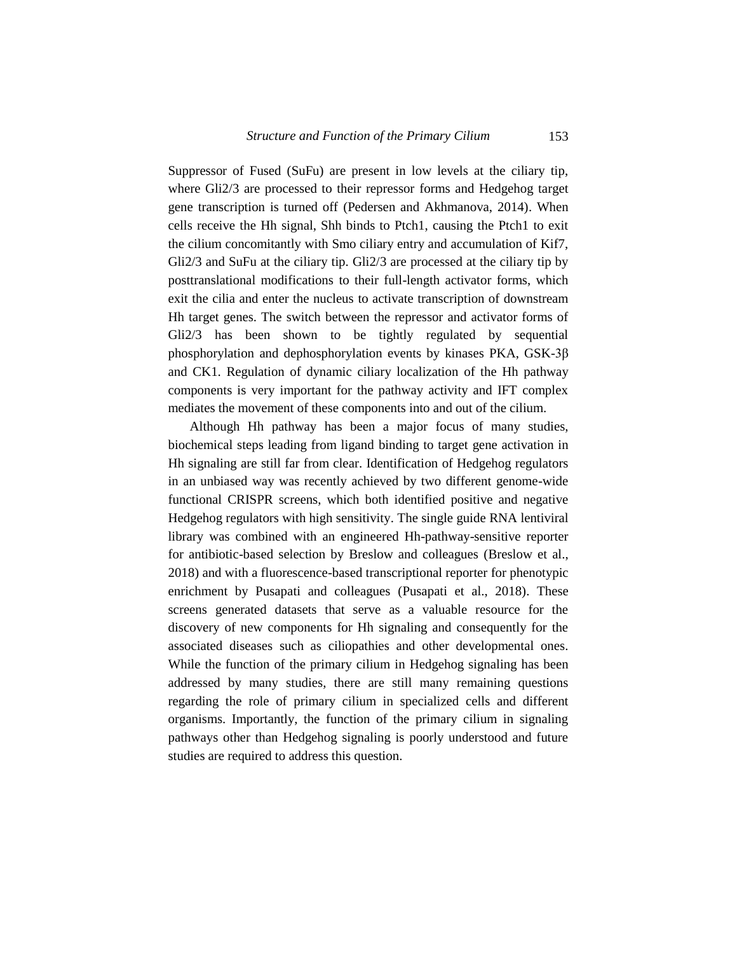Suppressor of Fused (SuFu) are present in low levels at the ciliary tip, where Gli2/3 are processed to their repressor forms and Hedgehog target gene transcription is turned off (Pedersen and Akhmanova, 2014). When cells receive the Hh signal, Shh binds to Ptch1, causing the Ptch1 to exit the cilium concomitantly with Smo ciliary entry and accumulation of Kif7, Gli2/3 and SuFu at the ciliary tip. Gli2/3 are processed at the ciliary tip by posttranslational modifications to their full-length activator forms, which exit the cilia and enter the nucleus to activate transcription of downstream Hh target genes. The switch between the repressor and activator forms of Gli2/3 has been shown to be tightly regulated by sequential phosphorylation and dephosphorylation events by kinases PKA, GSK-3β and CK1. Regulation of dynamic ciliary localization of the Hh pathway components is very important for the pathway activity and IFT complex mediates the movement of these components into and out of the cilium.

Although Hh pathway has been a major focus of many studies, biochemical steps leading from ligand binding to target gene activation in Hh signaling are still far from clear. Identification of Hedgehog regulators in an unbiased way was recently achieved by two different genome-wide functional CRISPR screens, which both identified positive and negative Hedgehog regulators with high sensitivity. The single guide RNA lentiviral library was combined with an engineered Hh-pathway-sensitive reporter for antibiotic-based selection by Breslow and colleagues (Breslow et al., 2018) and with a fluorescence-based transcriptional reporter for phenotypic enrichment by Pusapati and colleagues (Pusapati et al., 2018). These screens generated datasets that serve as a valuable resource for the discovery of new components for Hh signaling and consequently for the associated diseases such as ciliopathies and other developmental ones. While the function of the primary cilium in Hedgehog signaling has been addressed by many studies, there are still many remaining questions regarding the role of primary cilium in specialized cells and different organisms. Importantly, the function of the primary cilium in signaling pathways other than Hedgehog signaling is poorly understood and future studies are required to address this question.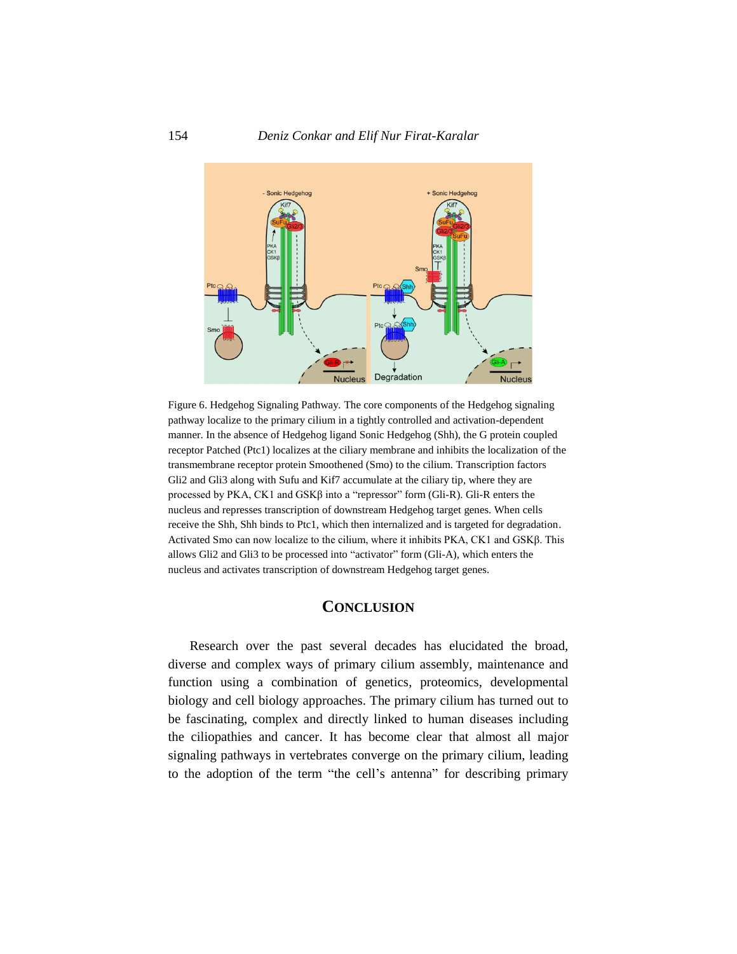

Figure 6. Hedgehog Signaling Pathway. The core components of the Hedgehog signaling pathway localize to the primary cilium in a tightly controlled and activation-dependent manner. In the absence of Hedgehog ligand Sonic Hedgehog (Shh), the G protein coupled receptor Patched (Ptc1) localizes at the ciliary membrane and inhibits the localization of the transmembrane receptor protein Smoothened (Smo) to the cilium. Transcription factors Gli2 and Gli3 along with Sufu and Kif7 accumulate at the ciliary tip, where they are processed by PKA, CK1 and  $GSK\beta$  into a "repressor" form (Gli-R). Gli-R enters the nucleus and represses transcription of downstream Hedgehog target genes. When cells receive the Shh, Shh binds to Ptc1, which then internalized and is targeted for degradation. Activated Smo can now localize to the cilium, where it inhibits PKA, CK1 and GSKβ. This allows Gli2 and Gli3 to be processed into "activator" form (Gli-A), which enters the nucleus and activates transcription of downstream Hedgehog target genes.

# **CONCLUSION**

Research over the past several decades has elucidated the broad, diverse and complex ways of primary cilium assembly, maintenance and function using a combination of genetics, proteomics, developmental biology and cell biology approaches. The primary cilium has turned out to be fascinating, complex and directly linked to human diseases including the ciliopathies and cancer. It has become clear that almost all major signaling pathways in vertebrates converge on the primary cilium, leading to the adoption of the term "the cell's antenna" for describing primary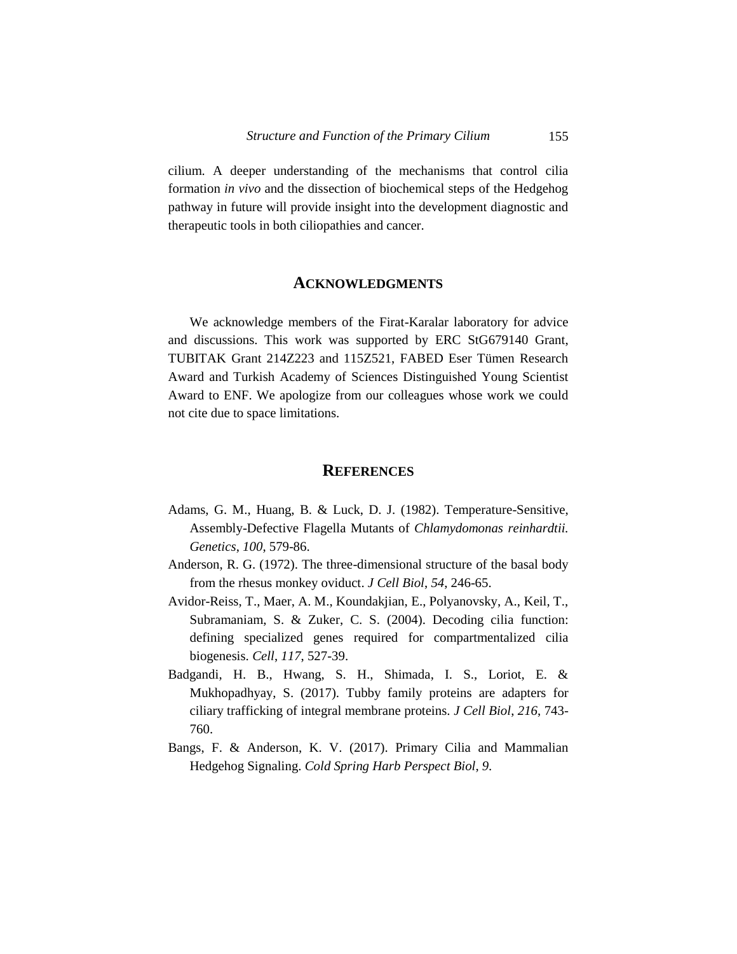cilium. A deeper understanding of the mechanisms that control cilia formation *in vivo* and the dissection of biochemical steps of the Hedgehog pathway in future will provide insight into the development diagnostic and therapeutic tools in both ciliopathies and cancer.

#### **ACKNOWLEDGMENTS**

We acknowledge members of the Firat-Karalar laboratory for advice and discussions. This work was supported by ERC StG679140 Grant, TUBITAK Grant 214Z223 and 115Z521, FABED Eser Tümen Research Award and Turkish Academy of Sciences Distinguished Young Scientist Award to ENF. We apologize from our colleagues whose work we could not cite due to space limitations.

#### **REFERENCES**

- Adams, G. M., Huang, B. & Luck, D. J. (1982). Temperature-Sensitive, Assembly-Defective Flagella Mutants of *Chlamydomonas reinhardtii. Genetics*, *100*, 579-86.
- Anderson, R. G. (1972). The three-dimensional structure of the basal body from the rhesus monkey oviduct. *J Cell Biol*, *54*, 246-65.
- Avidor-Reiss, T., Maer, A. M., Koundakjian, E., Polyanovsky, A., Keil, T., Subramaniam, S. & Zuker, C. S. (2004). Decoding cilia function: defining specialized genes required for compartmentalized cilia biogenesis. *Cell*, *117*, 527-39.
- Badgandi, H. B., Hwang, S. H., Shimada, I. S., Loriot, E. & Mukhopadhyay, S. (2017). Tubby family proteins are adapters for ciliary trafficking of integral membrane proteins. *J Cell Biol*, *216*, 743- 760.
- Bangs, F. & Anderson, K. V. (2017). Primary Cilia and Mammalian Hedgehog Signaling. *Cold Spring Harb Perspect Biol*, *9*.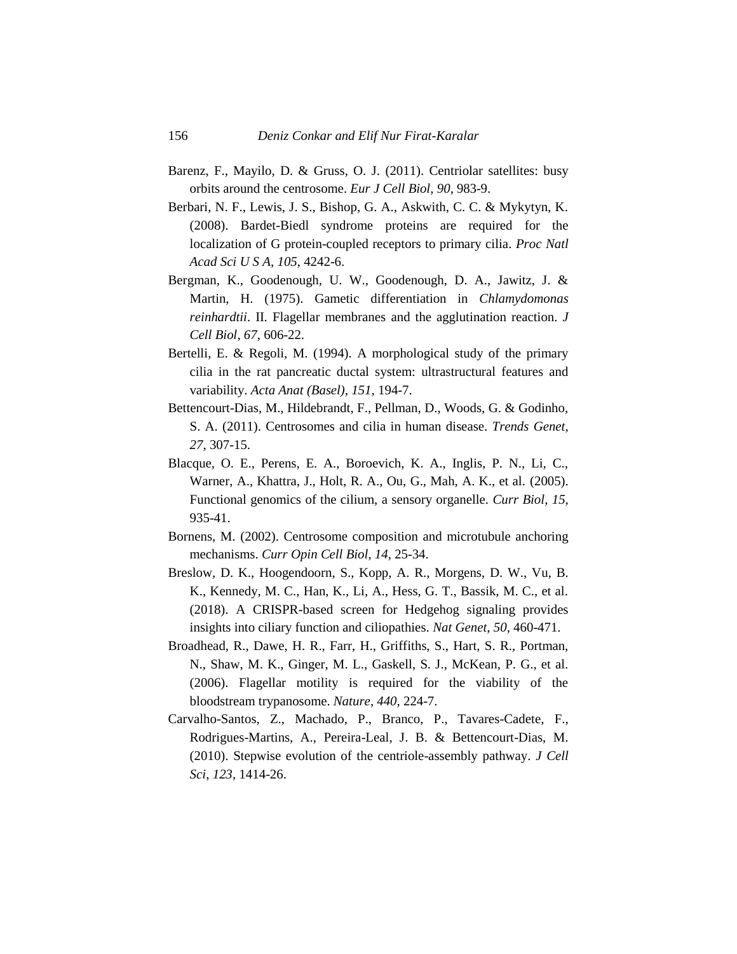- Barenz, F., Mayilo, D. & Gruss, O. J. (2011). Centriolar satellites: busy orbits around the centrosome. *Eur J Cell Biol*, *90*, 983-9.
- Berbari, N. F., Lewis, J. S., Bishop, G. A., Askwith, C. C. & Mykytyn, K. (2008). Bardet-Biedl syndrome proteins are required for the localization of G protein-coupled receptors to primary cilia. *Proc Natl Acad Sci U S A*, *105*, 4242-6.
- Bergman, K., Goodenough, U. W., Goodenough, D. A., Jawitz, J. & Martin, H. (1975). Gametic differentiation in *Chlamydomonas reinhardtii*. II. Flagellar membranes and the agglutination reaction. *J Cell Biol*, *67*, 606-22.
- Bertelli, E. & Regoli, M. (1994). A morphological study of the primary cilia in the rat pancreatic ductal system: ultrastructural features and variability. *Acta Anat (Basel)*, *151*, 194-7.
- Bettencourt-Dias, M., Hildebrandt, F., Pellman, D., Woods, G. & Godinho, S. A. (2011). Centrosomes and cilia in human disease. *Trends Genet*, *27*, 307-15.
- Blacque, O. E., Perens, E. A., Boroevich, K. A., Inglis, P. N., Li, C., Warner, A., Khattra, J., Holt, R. A., Ou, G., Mah, A. K., et al. (2005). Functional genomics of the cilium, a sensory organelle. *Curr Biol*, *15*, 935-41.
- Bornens, M. (2002). Centrosome composition and microtubule anchoring mechanisms. *Curr Opin Cell Biol*, *14*, 25-34.
- Breslow, D. K., Hoogendoorn, S., Kopp, A. R., Morgens, D. W., Vu, B. K., Kennedy, M. C., Han, K., Li, A., Hess, G. T., Bassik, M. C., et al. (2018). A CRISPR-based screen for Hedgehog signaling provides insights into ciliary function and ciliopathies. *Nat Genet*, *50*, 460-471.
- Broadhead, R., Dawe, H. R., Farr, H., Griffiths, S., Hart, S. R., Portman, N., Shaw, M. K., Ginger, M. L., Gaskell, S. J., McKean, P. G., et al. (2006). Flagellar motility is required for the viability of the bloodstream trypanosome. *Nature*, *440*, 224-7.
- Carvalho-Santos, Z., Machado, P., Branco, P., Tavares-Cadete, F., Rodrigues-Martins, A., Pereira-Leal, J. B. & Bettencourt-Dias, M. (2010). Stepwise evolution of the centriole-assembly pathway. *J Cell Sci*, *123*, 1414-26.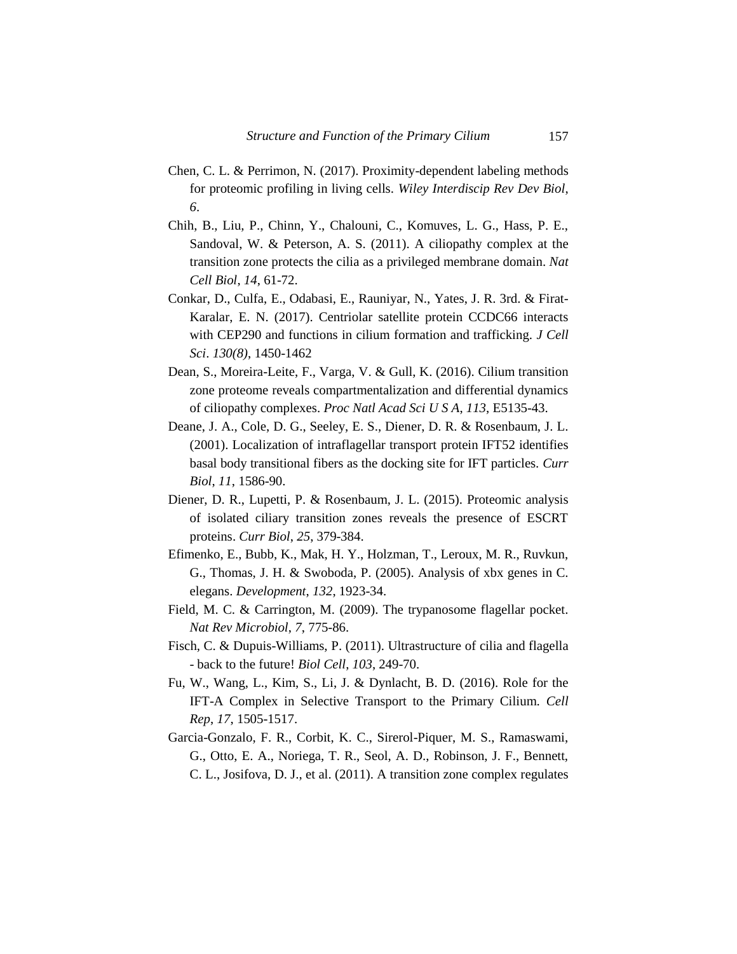- Chen, C. L. & Perrimon, N. (2017). Proximity-dependent labeling methods for proteomic profiling in living cells. *Wiley Interdiscip Rev Dev Biol*, *6*.
- Chih, B., Liu, P., Chinn, Y., Chalouni, C., Komuves, L. G., Hass, P. E., Sandoval, W. & Peterson, A. S. (2011). A ciliopathy complex at the transition zone protects the cilia as a privileged membrane domain. *Nat Cell Biol*, *14*, 61-72.
- Conkar, D., Culfa, E., Odabasi, E., Rauniyar, N., Yates, J. R. 3rd. & Firat-Karalar, E. N. (2017). Centriolar satellite protein CCDC66 interacts with CEP290 and functions in cilium formation and trafficking. *J Cell Sci*. *130(8)*, 1450-1462
- Dean, S., Moreira-Leite, F., Varga, V. & Gull, K. (2016). Cilium transition zone proteome reveals compartmentalization and differential dynamics of ciliopathy complexes. *Proc Natl Acad Sci U S A*, *113*, E5135-43.
- Deane, J. A., Cole, D. G., Seeley, E. S., Diener, D. R. & Rosenbaum, J. L. (2001). Localization of intraflagellar transport protein IFT52 identifies basal body transitional fibers as the docking site for IFT particles. *Curr Biol*, *11*, 1586-90.
- Diener, D. R., Lupetti, P. & Rosenbaum, J. L. (2015). Proteomic analysis of isolated ciliary transition zones reveals the presence of ESCRT proteins. *Curr Biol*, *25*, 379-384.
- Efimenko, E., Bubb, K., Mak, H. Y., Holzman, T., Leroux, M. R., Ruvkun, G., Thomas, J. H. & Swoboda, P. (2005). Analysis of xbx genes in C. elegans. *Development*, *132*, 1923-34.
- Field, M. C. & Carrington, M. (2009). The trypanosome flagellar pocket. *Nat Rev Microbiol*, *7*, 775-86.
- Fisch, C. & Dupuis-Williams, P. (2011). Ultrastructure of cilia and flagella - back to the future! *Biol Cell*, *103*, 249-70.
- Fu, W., Wang, L., Kim, S., Li, J. & Dynlacht, B. D. (2016). Role for the IFT-A Complex in Selective Transport to the Primary Cilium. *Cell Rep*, *17*, 1505-1517.
- Garcia-Gonzalo, F. R., Corbit, K. C., Sirerol-Piquer, M. S., Ramaswami, G., Otto, E. A., Noriega, T. R., Seol, A. D., Robinson, J. F., Bennett, C. L., Josifova, D. J., et al. (2011). A transition zone complex regulates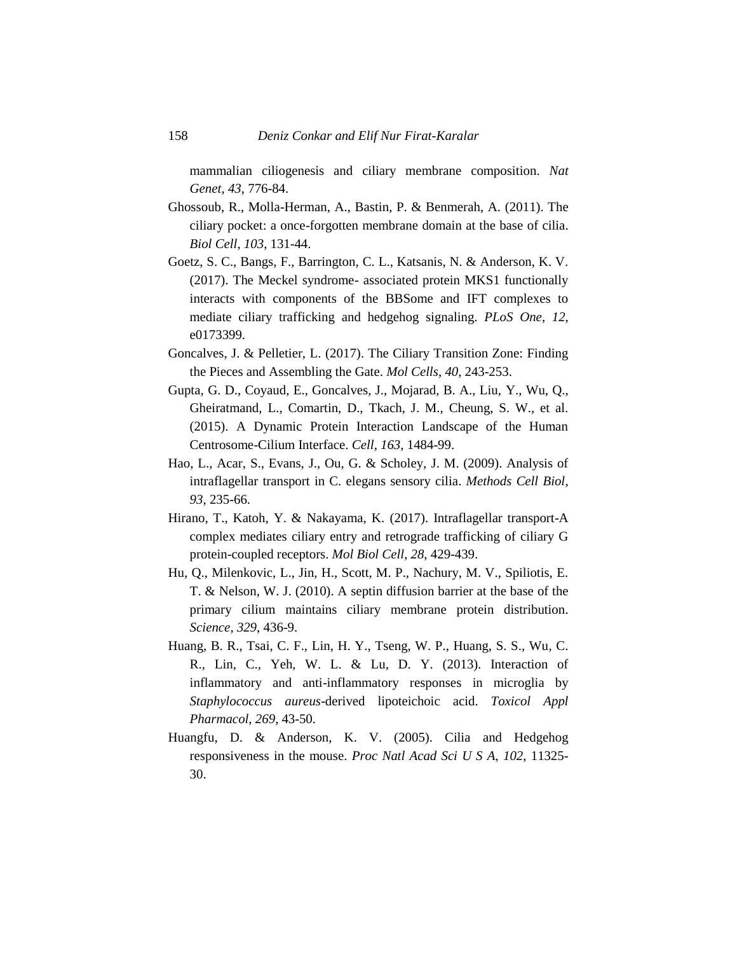mammalian ciliogenesis and ciliary membrane composition. *Nat Genet*, *43*, 776-84.

- Ghossoub, R., Molla-Herman, A., Bastin, P. & Benmerah, A. (2011). The ciliary pocket: a once-forgotten membrane domain at the base of cilia. *Biol Cell*, *103*, 131-44.
- Goetz, S. C., Bangs, F., Barrington, C. L., Katsanis, N. & Anderson, K. V. (2017). The Meckel syndrome- associated protein MKS1 functionally interacts with components of the BBSome and IFT complexes to mediate ciliary trafficking and hedgehog signaling. *PLoS One*, *12*, e0173399.
- Goncalves, J. & Pelletier, L. (2017). The Ciliary Transition Zone: Finding the Pieces and Assembling the Gate. *Mol Cells*, *40*, 243-253.
- Gupta, G. D., Coyaud, E., Goncalves, J., Mojarad, B. A., Liu, Y., Wu, Q., Gheiratmand, L., Comartin, D., Tkach, J. M., Cheung, S. W., et al. (2015). A Dynamic Protein Interaction Landscape of the Human Centrosome-Cilium Interface. *Cell*, *163*, 1484-99.
- Hao, L., Acar, S., Evans, J., Ou, G. & Scholey, J. M. (2009). Analysis of intraflagellar transport in C. elegans sensory cilia. *Methods Cell Biol*, *93*, 235-66.
- Hirano, T., Katoh, Y. & Nakayama, K. (2017). Intraflagellar transport-A complex mediates ciliary entry and retrograde trafficking of ciliary G protein-coupled receptors. *Mol Biol Cell*, *28*, 429-439.
- Hu, Q., Milenkovic, L., Jin, H., Scott, M. P., Nachury, M. V., Spiliotis, E. T. & Nelson, W. J. (2010). A septin diffusion barrier at the base of the primary cilium maintains ciliary membrane protein distribution. *Science*, *329*, 436-9.
- Huang, B. R., Tsai, C. F., Lin, H. Y., Tseng, W. P., Huang, S. S., Wu, C. R., Lin, C., Yeh, W. L. & Lu, D. Y. (2013). Interaction of inflammatory and anti-inflammatory responses in microglia by *Staphylococcus aureus*-derived lipoteichoic acid. *Toxicol Appl Pharmacol*, *269*, 43-50.
- Huangfu, D. & Anderson, K. V. (2005). Cilia and Hedgehog responsiveness in the mouse. *Proc Natl Acad Sci U S A*, *102*, 11325- 30.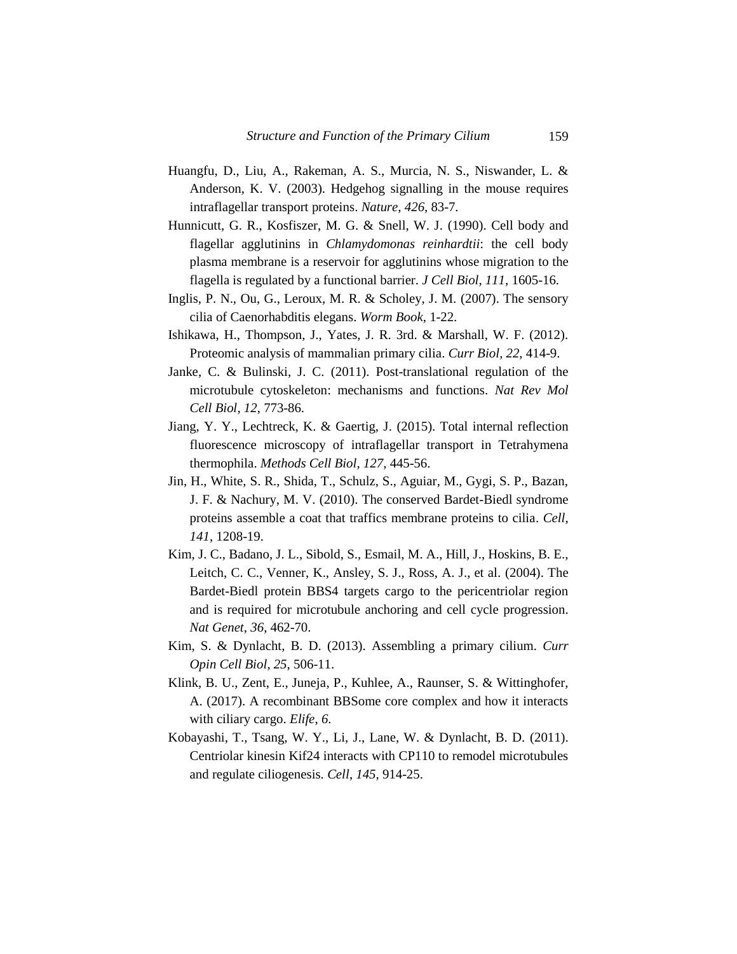- Huangfu, D., Liu, A., Rakeman, A. S., Murcia, N. S., Niswander, L. & Anderson, K. V. (2003). Hedgehog signalling in the mouse requires intraflagellar transport proteins. *Nature*, *426*, 83-7.
- Hunnicutt, G. R., Kosfiszer, M. G. & Snell, W. J. (1990). Cell body and flagellar agglutinins in *Chlamydomonas reinhardtii*: the cell body plasma membrane is a reservoir for agglutinins whose migration to the flagella is regulated by a functional barrier. *J Cell Biol*, *111*, 1605-16.
- Inglis, P. N., Ou, G., Leroux, M. R. & Scholey, J. M. (2007). The sensory cilia of Caenorhabditis elegans. *Worm Book*, 1-22.
- Ishikawa, H., Thompson, J., Yates, J. R. 3rd. & Marshall, W. F. (2012). Proteomic analysis of mammalian primary cilia. *Curr Biol*, *22*, 414-9.
- Janke, C. & Bulinski, J. C. (2011). Post-translational regulation of the microtubule cytoskeleton: mechanisms and functions. *Nat Rev Mol Cell Biol*, *12*, 773-86.
- Jiang, Y. Y., Lechtreck, K. & Gaertig, J. (2015). Total internal reflection fluorescence microscopy of intraflagellar transport in Tetrahymena thermophila. *Methods Cell Biol*, *127*, 445-56.
- Jin, H., White, S. R., Shida, T., Schulz, S., Aguiar, M., Gygi, S. P., Bazan, J. F. & Nachury, M. V. (2010). The conserved Bardet-Biedl syndrome proteins assemble a coat that traffics membrane proteins to cilia. *Cell*, *141*, 1208-19.
- Kim, J. C., Badano, J. L., Sibold, S., Esmail, M. A., Hill, J., Hoskins, B. E., Leitch, C. C., Venner, K., Ansley, S. J., Ross, A. J., et al. (2004). The Bardet-Biedl protein BBS4 targets cargo to the pericentriolar region and is required for microtubule anchoring and cell cycle progression. *Nat Genet*, *36*, 462-70.
- Kim, S. & Dynlacht, B. D. (2013). Assembling a primary cilium. *Curr Opin Cell Biol*, *25*, 506-11.
- Klink, B. U., Zent, E., Juneja, P., Kuhlee, A., Raunser, S. & Wittinghofer, A. (2017). A recombinant BBSome core complex and how it interacts with ciliary cargo. *Elife*, *6*.
- Kobayashi, T., Tsang, W. Y., Li, J., Lane, W. & Dynlacht, B. D. (2011). Centriolar kinesin Kif24 interacts with CP110 to remodel microtubules and regulate ciliogenesis. *Cell*, *145*, 914-25.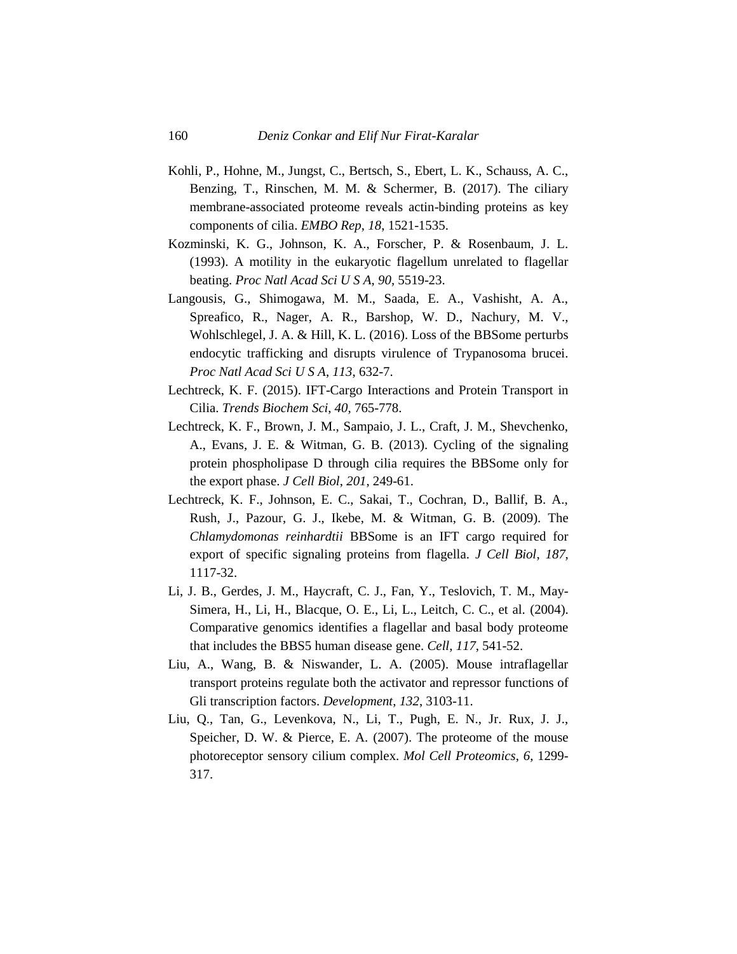- Kohli, P., Hohne, M., Jungst, C., Bertsch, S., Ebert, L. K., Schauss, A. C., Benzing, T., Rinschen, M. M. & Schermer, B. (2017). The ciliary membrane-associated proteome reveals actin-binding proteins as key components of cilia. *EMBO Rep*, *18*, 1521-1535.
- Kozminski, K. G., Johnson, K. A., Forscher, P. & Rosenbaum, J. L. (1993). A motility in the eukaryotic flagellum unrelated to flagellar beating. *Proc Natl Acad Sci U S A*, *90*, 5519-23.
- Langousis, G., Shimogawa, M. M., Saada, E. A., Vashisht, A. A., Spreafico, R., Nager, A. R., Barshop, W. D., Nachury, M. V., Wohlschlegel, J. A. & Hill, K. L. (2016). Loss of the BBSome perturbs endocytic trafficking and disrupts virulence of Trypanosoma brucei. *Proc Natl Acad Sci U S A*, *113*, 632-7.
- Lechtreck, K. F. (2015). IFT-Cargo Interactions and Protein Transport in Cilia. *Trends Biochem Sci*, *40*, 765-778.
- Lechtreck, K. F., Brown, J. M., Sampaio, J. L., Craft, J. M., Shevchenko, A., Evans, J. E. & Witman, G. B. (2013). Cycling of the signaling protein phospholipase D through cilia requires the BBSome only for the export phase. *J Cell Biol*, *201*, 249-61.
- Lechtreck, K. F., Johnson, E. C., Sakai, T., Cochran, D., Ballif, B. A., Rush, J., Pazour, G. J., Ikebe, M. & Witman, G. B. (2009). The *Chlamydomonas reinhardtii* BBSome is an IFT cargo required for export of specific signaling proteins from flagella. *J Cell Biol*, *187*, 1117-32.
- Li, J. B., Gerdes, J. M., Haycraft, C. J., Fan, Y., Teslovich, T. M., May-Simera, H., Li, H., Blacque, O. E., Li, L., Leitch, C. C., et al. (2004). Comparative genomics identifies a flagellar and basal body proteome that includes the BBS5 human disease gene. *Cell*, *117*, 541-52.
- Liu, A., Wang, B. & Niswander, L. A. (2005). Mouse intraflagellar transport proteins regulate both the activator and repressor functions of Gli transcription factors. *Development*, *132*, 3103-11.
- Liu, Q., Tan, G., Levenkova, N., Li, T., Pugh, E. N., Jr. Rux, J. J., Speicher, D. W. & Pierce, E. A. (2007). The proteome of the mouse photoreceptor sensory cilium complex. *Mol Cell Proteomics*, *6*, 1299- 317.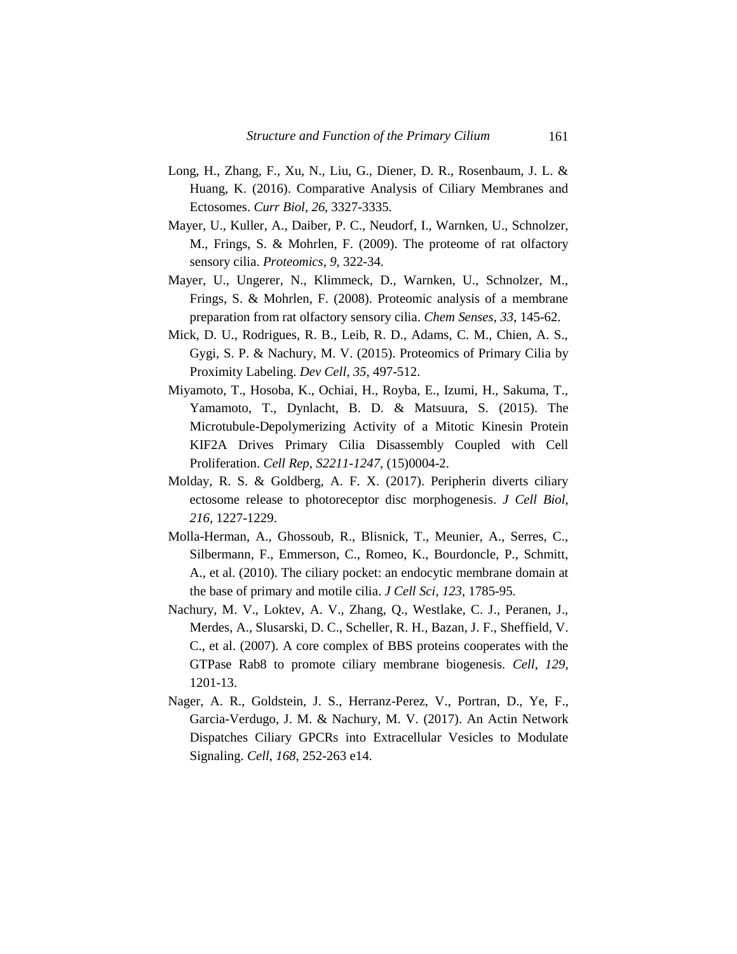- Long, H., Zhang, F., Xu, N., Liu, G., Diener, D. R., Rosenbaum, J. L. & Huang, K. (2016). Comparative Analysis of Ciliary Membranes and Ectosomes. *Curr Biol*, *26*, 3327-3335.
- Mayer, U., Kuller, A., Daiber, P. C., Neudorf, I., Warnken, U., Schnolzer, M., Frings, S. & Mohrlen, F. (2009). The proteome of rat olfactory sensory cilia. *Proteomics*, *9*, 322-34.
- Mayer, U., Ungerer, N., Klimmeck, D., Warnken, U., Schnolzer, M., Frings, S. & Mohrlen, F. (2008). Proteomic analysis of a membrane preparation from rat olfactory sensory cilia. *Chem Senses*, *33*, 145-62.
- Mick, D. U., Rodrigues, R. B., Leib, R. D., Adams, C. M., Chien, A. S., Gygi, S. P. & Nachury, M. V. (2015). Proteomics of Primary Cilia by Proximity Labeling. *Dev Cell*, *35*, 497-512.
- Miyamoto, T., Hosoba, K., Ochiai, H., Royba, E., Izumi, H., Sakuma, T., Yamamoto, T., Dynlacht, B. D. & Matsuura, S. (2015). The Microtubule-Depolymerizing Activity of a Mitotic Kinesin Protein KIF2A Drives Primary Cilia Disassembly Coupled with Cell Proliferation. *Cell Rep*, *S2211-1247*, (15)0004-2.
- Molday, R. S. & Goldberg, A. F. X. (2017). Peripherin diverts ciliary ectosome release to photoreceptor disc morphogenesis. *J Cell Biol*, *216*, 1227-1229.
- Molla-Herman, A., Ghossoub, R., Blisnick, T., Meunier, A., Serres, C., Silbermann, F., Emmerson, C., Romeo, K., Bourdoncle, P., Schmitt, A., et al. (2010). The ciliary pocket: an endocytic membrane domain at the base of primary and motile cilia. *J Cell Sci*, *123*, 1785-95.
- Nachury, M. V., Loktev, A. V., Zhang, Q., Westlake, C. J., Peranen, J., Merdes, A., Slusarski, D. C., Scheller, R. H., Bazan, J. F., Sheffield, V. C., et al. (2007). A core complex of BBS proteins cooperates with the GTPase Rab8 to promote ciliary membrane biogenesis. *Cell*, *129*, 1201-13.
- Nager, A. R., Goldstein, J. S., Herranz-Perez, V., Portran, D., Ye, F., Garcia-Verdugo, J. M. & Nachury, M. V. (2017). An Actin Network Dispatches Ciliary GPCRs into Extracellular Vesicles to Modulate Signaling. *Cell*, *168*, 252-263 e14.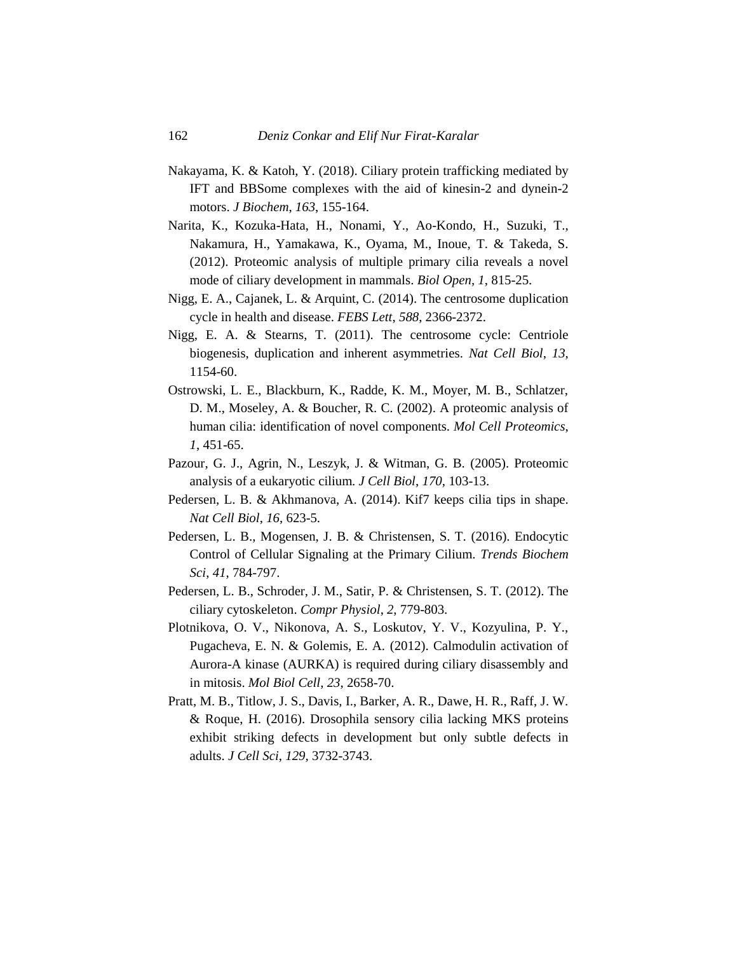- Nakayama, K. & Katoh, Y. (2018). Ciliary protein trafficking mediated by IFT and BBSome complexes with the aid of kinesin-2 and dynein-2 motors. *J Biochem*, *163*, 155-164.
- Narita, K., Kozuka-Hata, H., Nonami, Y., Ao-Kondo, H., Suzuki, T., Nakamura, H., Yamakawa, K., Oyama, M., Inoue, T. & Takeda, S. (2012). Proteomic analysis of multiple primary cilia reveals a novel mode of ciliary development in mammals. *Biol Open*, *1*, 815-25.
- Nigg, E. A., Cajanek, L. & Arquint, C. (2014). The centrosome duplication cycle in health and disease. *FEBS Lett*, *588*, 2366-2372.
- Nigg, E. A. & Stearns, T. (2011). The centrosome cycle: Centriole biogenesis, duplication and inherent asymmetries. *Nat Cell Biol*, *13*, 1154-60.
- Ostrowski, L. E., Blackburn, K., Radde, K. M., Moyer, M. B., Schlatzer, D. M., Moseley, A. & Boucher, R. C. (2002). A proteomic analysis of human cilia: identification of novel components. *Mol Cell Proteomics*, *1*, 451-65.
- Pazour, G. J., Agrin, N., Leszyk, J. & Witman, G. B. (2005). Proteomic analysis of a eukaryotic cilium. *J Cell Biol*, *170*, 103-13.
- Pedersen, L. B. & Akhmanova, A. (2014). Kif7 keeps cilia tips in shape. *Nat Cell Biol*, *16*, 623-5.
- Pedersen, L. B., Mogensen, J. B. & Christensen, S. T. (2016). Endocytic Control of Cellular Signaling at the Primary Cilium. *Trends Biochem Sci*, *41*, 784-797.
- Pedersen, L. B., Schroder, J. M., Satir, P. & Christensen, S. T. (2012). The ciliary cytoskeleton. *Compr Physiol*, *2*, 779-803.
- Plotnikova, O. V., Nikonova, A. S., Loskutov, Y. V., Kozyulina, P. Y., Pugacheva, E. N. & Golemis, E. A. (2012). Calmodulin activation of Aurora-A kinase (AURKA) is required during ciliary disassembly and in mitosis. *Mol Biol Cell*, *23*, 2658-70.
- Pratt, M. B., Titlow, J. S., Davis, I., Barker, A. R., Dawe, H. R., Raff, J. W. & Roque, H. (2016). Drosophila sensory cilia lacking MKS proteins exhibit striking defects in development but only subtle defects in adults. *J Cell Sci*, *129*, 3732-3743.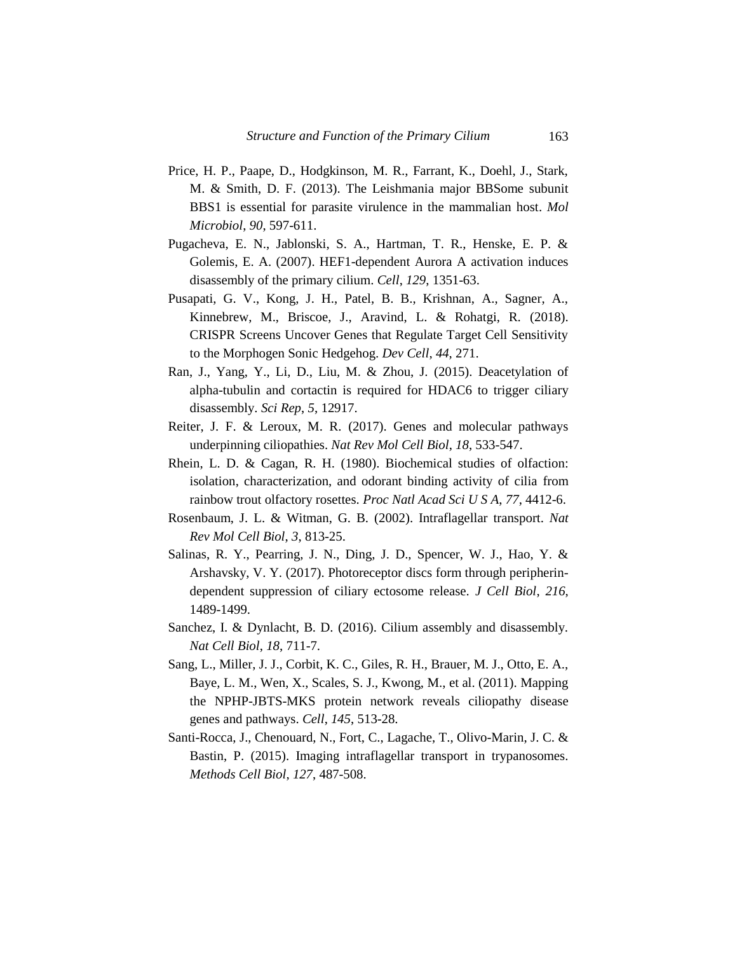- Price, H. P., Paape, D., Hodgkinson, M. R., Farrant, K., Doehl, J., Stark, M. & Smith, D. F. (2013). The Leishmania major BBSome subunit BBS1 is essential for parasite virulence in the mammalian host. *Mol Microbiol*, *90*, 597-611.
- Pugacheva, E. N., Jablonski, S. A., Hartman, T. R., Henske, E. P. & Golemis, E. A. (2007). HEF1-dependent Aurora A activation induces disassembly of the primary cilium. *Cell*, *129*, 1351-63.
- Pusapati, G. V., Kong, J. H., Patel, B. B., Krishnan, A., Sagner, A., Kinnebrew, M., Briscoe, J., Aravind, L. & Rohatgi, R. (2018). CRISPR Screens Uncover Genes that Regulate Target Cell Sensitivity to the Morphogen Sonic Hedgehog. *Dev Cell*, *44*, 271.
- Ran, J., Yang, Y., Li, D., Liu, M. & Zhou, J. (2015). Deacetylation of alpha-tubulin and cortactin is required for HDAC6 to trigger ciliary disassembly. *Sci Rep*, *5*, 12917.
- Reiter, J. F. & Leroux, M. R. (2017). Genes and molecular pathways underpinning ciliopathies. *Nat Rev Mol Cell Biol*, *18*, 533-547.
- Rhein, L. D. & Cagan, R. H. (1980). Biochemical studies of olfaction: isolation, characterization, and odorant binding activity of cilia from rainbow trout olfactory rosettes. *Proc Natl Acad Sci U S A*, *77*, 4412-6.
- Rosenbaum, J. L. & Witman, G. B. (2002). Intraflagellar transport. *Nat Rev Mol Cell Biol*, *3*, 813-25.
- Salinas, R. Y., Pearring, J. N., Ding, J. D., Spencer, W. J., Hao, Y. & Arshavsky, V. Y. (2017). Photoreceptor discs form through peripherindependent suppression of ciliary ectosome release. *J Cell Biol*, *216*, 1489-1499.
- Sanchez, I. & Dynlacht, B. D. (2016). Cilium assembly and disassembly. *Nat Cell Biol*, *18*, 711-7.
- Sang, L., Miller, J. J., Corbit, K. C., Giles, R. H., Brauer, M. J., Otto, E. A., Baye, L. M., Wen, X., Scales, S. J., Kwong, M., et al. (2011). Mapping the NPHP-JBTS-MKS protein network reveals ciliopathy disease genes and pathways. *Cell*, *145*, 513-28.
- Santi-Rocca, J., Chenouard, N., Fort, C., Lagache, T., Olivo-Marin, J. C. & Bastin, P. (2015). Imaging intraflagellar transport in trypanosomes. *Methods Cell Biol*, *127*, 487-508.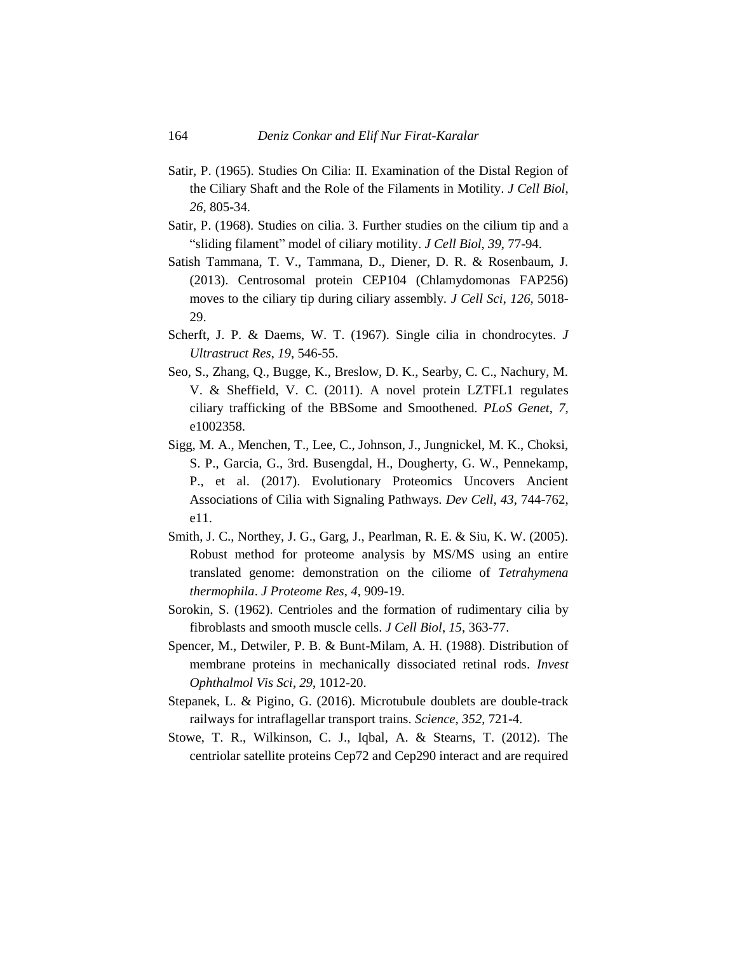- Satir, P. (1965). Studies On Cilia: II. Examination of the Distal Region of the Ciliary Shaft and the Role of the Filaments in Motility. *J Cell Biol*, *26*, 805-34.
- Satir, P. (1968). Studies on cilia. 3. Further studies on the cilium tip and a "sliding filament" model of ciliary motility. *J Cell Biol*, *39*, 77-94.
- Satish Tammana, T. V., Tammana, D., Diener, D. R. & Rosenbaum, J. (2013). Centrosomal protein CEP104 (Chlamydomonas FAP256) moves to the ciliary tip during ciliary assembly. *J Cell Sci*, *126*, 5018- 29.
- Scherft, J. P. & Daems, W. T. (1967). Single cilia in chondrocytes. *J Ultrastruct Res*, *19*, 546-55.
- Seo, S., Zhang, Q., Bugge, K., Breslow, D. K., Searby, C. C., Nachury, M. V. & Sheffield, V. C. (2011). A novel protein LZTFL1 regulates ciliary trafficking of the BBSome and Smoothened. *PLoS Genet*, *7*, e1002358.
- Sigg, M. A., Menchen, T., Lee, C., Johnson, J., Jungnickel, M. K., Choksi, S. P., Garcia, G., 3rd. Busengdal, H., Dougherty, G. W., Pennekamp, P., et al. (2017). Evolutionary Proteomics Uncovers Ancient Associations of Cilia with Signaling Pathways. *Dev Cell*, *43*, 744-762, e11.
- Smith, J. C., Northey, J. G., Garg, J., Pearlman, R. E. & Siu, K. W. (2005). Robust method for proteome analysis by MS/MS using an entire translated genome: demonstration on the ciliome of *Tetrahymena thermophila*. *J Proteome Res*, *4*, 909-19.
- Sorokin, S. (1962). Centrioles and the formation of rudimentary cilia by fibroblasts and smooth muscle cells. *J Cell Biol*, *15*, 363-77.
- Spencer, M., Detwiler, P. B. & Bunt-Milam, A. H. (1988). Distribution of membrane proteins in mechanically dissociated retinal rods. *Invest Ophthalmol Vis Sci*, *29*, 1012-20.
- Stepanek, L. & Pigino, G. (2016). Microtubule doublets are double-track railways for intraflagellar transport trains. *Science*, *352*, 721-4.
- Stowe, T. R., Wilkinson, C. J., Iqbal, A. & Stearns, T. (2012). The centriolar satellite proteins Cep72 and Cep290 interact and are required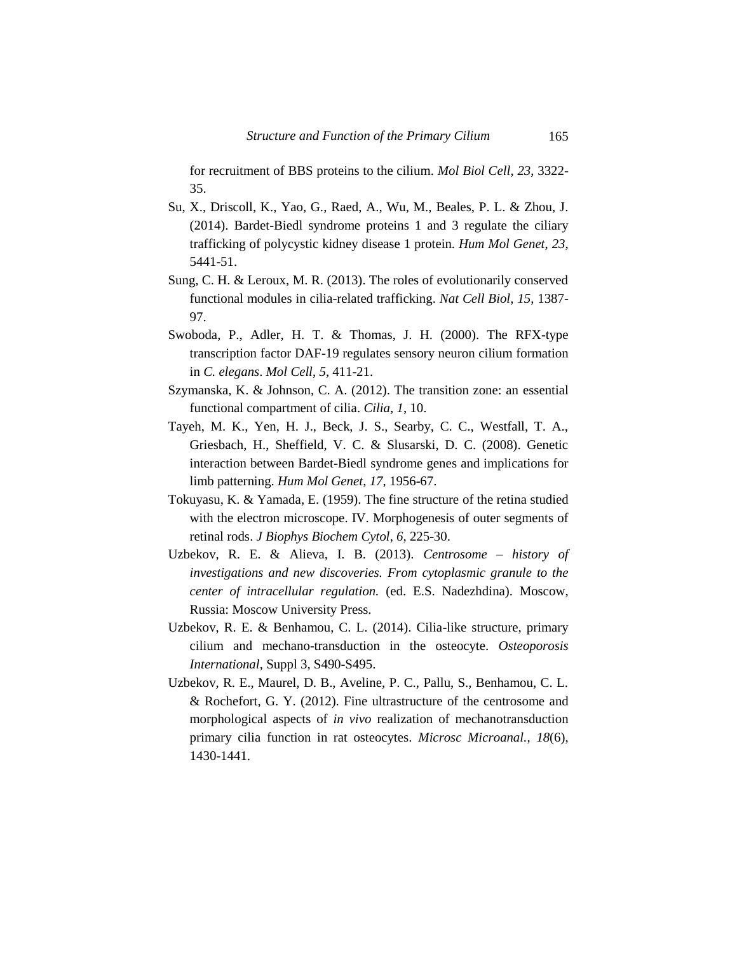for recruitment of BBS proteins to the cilium. *Mol Biol Cell*, *23*, 3322- 35.

- Su, X., Driscoll, K., Yao, G., Raed, A., Wu, M., Beales, P. L. & Zhou, J. (2014). Bardet-Biedl syndrome proteins 1 and 3 regulate the ciliary trafficking of polycystic kidney disease 1 protein. *Hum Mol Genet*, *23*, 5441-51.
- Sung, C. H. & Leroux, M. R. (2013). The roles of evolutionarily conserved functional modules in cilia-related trafficking. *Nat Cell Biol*, *15*, 1387- 97.
- Swoboda, P., Adler, H. T. & Thomas, J. H. (2000). The RFX-type transcription factor DAF-19 regulates sensory neuron cilium formation in *C. elegans*. *Mol Cell*, *5*, 411-21.
- Szymanska, K. & Johnson, C. A. (2012). The transition zone: an essential functional compartment of cilia. *Cilia*, *1*, 10.
- Tayeh, M. K., Yen, H. J., Beck, J. S., Searby, C. C., Westfall, T. A., Griesbach, H., Sheffield, V. C. & Slusarski, D. C. (2008). Genetic interaction between Bardet-Biedl syndrome genes and implications for limb patterning. *Hum Mol Genet*, *17*, 1956-67.
- Tokuyasu, K. & Yamada, E. (1959). The fine structure of the retina studied with the electron microscope. IV. Morphogenesis of outer segments of retinal rods. *J Biophys Biochem Cytol*, *6*, 225-30.
- Uzbekov, R. E. & Alieva, I. B. (2013). *Centrosome – history of investigations and new discoveries. From cytoplasmic granule to the center of intracellular regulation.* (ed. E.S. Nadezhdina). Moscow, Russia: Moscow University Press.
- Uzbekov, R. E. & Benhamou, C. L. (2014). Cilia-like structure, primary cilium and mechano-transduction in the osteocyte. *Osteoporosis International*, Suppl 3, S490-S495.
- Uzbekov, R. E., Maurel, D. B., Aveline, P. C., Pallu, S., Benhamou, C. L. & Rochefort, G. Y. (2012). Fine ultrastructure of the centrosome and morphological aspects of *in vivo* realization of mechanotransduction primary cilia function in rat osteocytes. *Microsc Microanal.*, *18*(6), 1430-1441.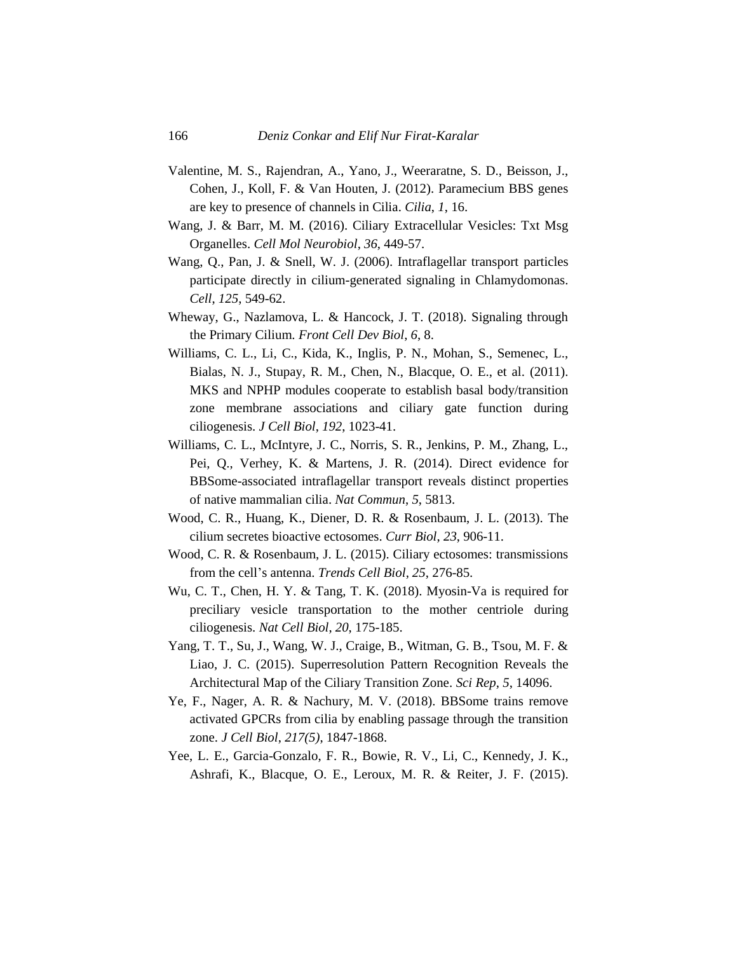- Valentine, M. S., Rajendran, A., Yano, J., Weeraratne, S. D., Beisson, J., Cohen, J., Koll, F. & Van Houten, J. (2012). Paramecium BBS genes are key to presence of channels in Cilia. *Cilia*, *1*, 16.
- Wang, J. & Barr, M. M. (2016). Ciliary Extracellular Vesicles: Txt Msg Organelles. *Cell Mol Neurobiol*, *36*, 449-57.
- Wang, Q., Pan, J. & Snell, W. J. (2006). Intraflagellar transport particles participate directly in cilium-generated signaling in Chlamydomonas. *Cell*, *125*, 549-62.
- Wheway, G., Nazlamova, L. & Hancock, J. T. (2018). Signaling through the Primary Cilium. *Front Cell Dev Biol*, *6*, 8.
- Williams, C. L., Li, C., Kida, K., Inglis, P. N., Mohan, S., Semenec, L., Bialas, N. J., Stupay, R. M., Chen, N., Blacque, O. E., et al. (2011). MKS and NPHP modules cooperate to establish basal body/transition zone membrane associations and ciliary gate function during ciliogenesis. *J Cell Biol*, *192*, 1023-41.
- Williams, C. L., McIntyre, J. C., Norris, S. R., Jenkins, P. M., Zhang, L., Pei, Q., Verhey, K. & Martens, J. R. (2014). Direct evidence for BBSome-associated intraflagellar transport reveals distinct properties of native mammalian cilia. *Nat Commun*, *5*, 5813.
- Wood, C. R., Huang, K., Diener, D. R. & Rosenbaum, J. L. (2013). The cilium secretes bioactive ectosomes. *Curr Biol*, *23*, 906-11.
- Wood, C. R. & Rosenbaum, J. L. (2015). Ciliary ectosomes: transmissions from the cell's antenna. *Trends Cell Biol*, *25*, 276-85.
- Wu, C. T., Chen, H. Y. & Tang, T. K. (2018). Myosin-Va is required for preciliary vesicle transportation to the mother centriole during ciliogenesis. *Nat Cell Biol*, *20*, 175-185.
- Yang, T. T., Su, J., Wang, W. J., Craige, B., Witman, G. B., Tsou, M. F. & Liao, J. C. (2015). Superresolution Pattern Recognition Reveals the Architectural Map of the Ciliary Transition Zone. *Sci Rep*, *5*, 14096.
- Ye, F., Nager, A. R. & Nachury, M. V. (2018). BBSome trains remove activated GPCRs from cilia by enabling passage through the transition zone. *J Cell Biol*, *217(5)*, 1847-1868.
- Yee, L. E., Garcia-Gonzalo, F. R., Bowie, R. V., Li, C., Kennedy, J. K., Ashrafi, K., Blacque, O. E., Leroux, M. R. & Reiter, J. F. (2015).